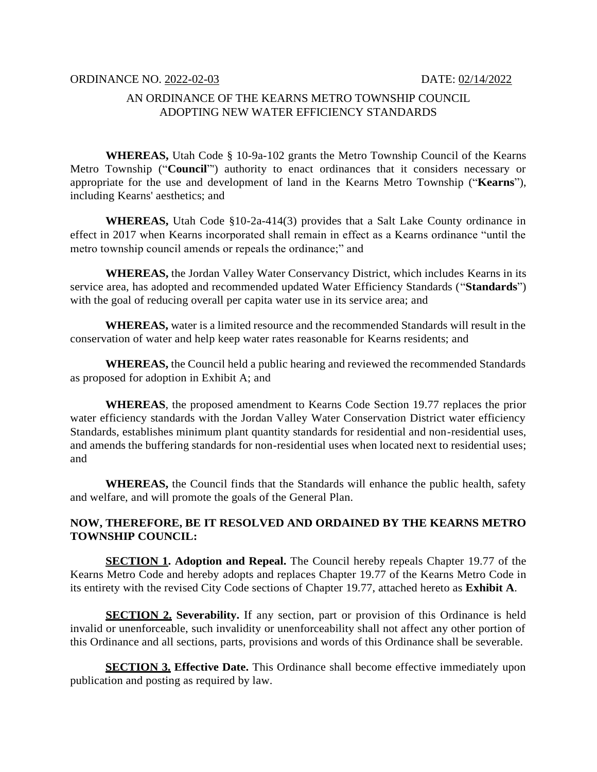## AN ORDINANCE OF THE KEARNS METRO TOWNSHIP COUNCIL ADOPTING NEW WATER EFFICIENCY STANDARDS

**WHEREAS,** Utah Code § 10-9a-102 grants the Metro Township Council of the Kearns Metro Township ("**Council**"') authority to enact ordinances that it considers necessary or appropriate for the use and development of land in the Kearns Metro Township ("**Kearns**"), including Kearns' aesthetics; and

**WHEREAS,** Utah Code §10-2a-414(3) provides that a Salt Lake County ordinance in effect in 2017 when Kearns incorporated shall remain in effect as a Kearns ordinance "until the metro township council amends or repeals the ordinance;" and

**WHEREAS,** the Jordan Valley Water Conservancy District, which includes Kearns in its service area, has adopted and recommended updated Water Efficiency Standards ("**Standards**") with the goal of reducing overall per capita water use in its service area; and

**WHEREAS,** water is a limited resource and the recommended Standards will result in the conservation of water and help keep water rates reasonable for Kearns residents; and

**WHEREAS,** the Council held a public hearing and reviewed the recommended Standards as proposed for adoption in Exhibit A; and

**WHEREAS**, the proposed amendment to Kearns Code Section 19.77 replaces the prior water efficiency standards with the Jordan Valley Water Conservation District water efficiency Standards, establishes minimum plant quantity standards for residential and non-residential uses, and amends the buffering standards for non-residential uses when located next to residential uses; and

**WHEREAS,** the Council finds that the Standards will enhance the public health, safety and welfare, and will promote the goals of the General Plan.

## **NOW, THEREFORE, BE IT RESOLVED AND ORDAINED BY THE KEARNS METRO TOWNSHIP COUNCIL:**

**SECTION 1. Adoption and Repeal.** The Council hereby repeals Chapter 19.77 of the Kearns Metro Code and hereby adopts and replaces Chapter 19.77 of the Kearns Metro Code in its entirety with the revised City Code sections of Chapter 19.77, attached hereto as **Exhibit A**.

**SECTION 2. Severability.** If any section, part or provision of this Ordinance is held invalid or unenforceable, such invalidity or unenforceability shall not affect any other portion of this Ordinance and all sections, parts, provisions and words of this Ordinance shall be severable.

**SECTION 3. Effective Date.** This Ordinance shall become effective immediately upon publication and posting as required by law.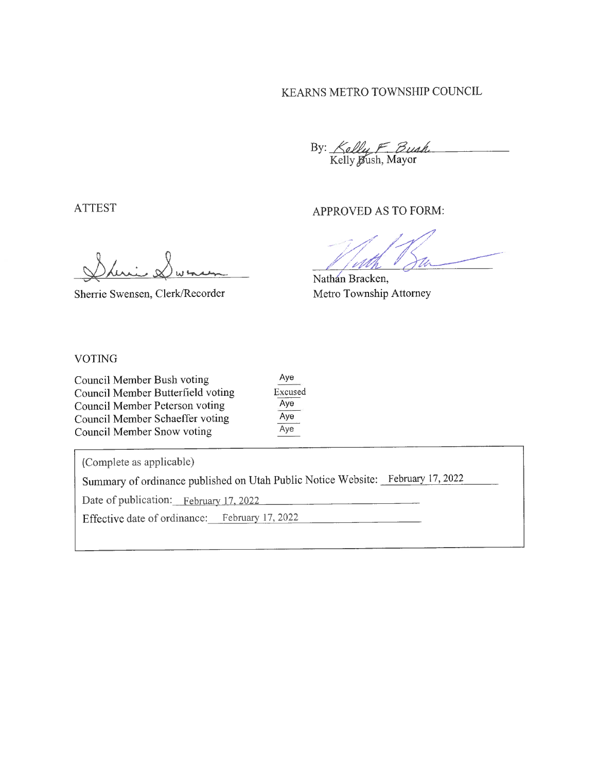## KEARNS METRO TOWNSHIP COUNCIL

By: Kelly F Bush

APPROVED AS TO FORM:

Sherrie Swensen, Clerk/Recorder

Nathan Bracken, Metro Township Attorney

#### **VOTING**

**ATTEST** 

| Council Member Bush voting        | Aye     |
|-----------------------------------|---------|
| Council Member Butterfield voting | Excused |
| Council Member Peterson voting    | Aye     |
| Council Member Schaeffer voting   | Aye     |
| Council Member Snow voting        | Aye     |

(Complete as applicable)

Summary of ordinance published on Utah Public Notice Website: February 17, 2022

Date of publication: February 17, 2022

Effective date of ordinance: February 17, 2022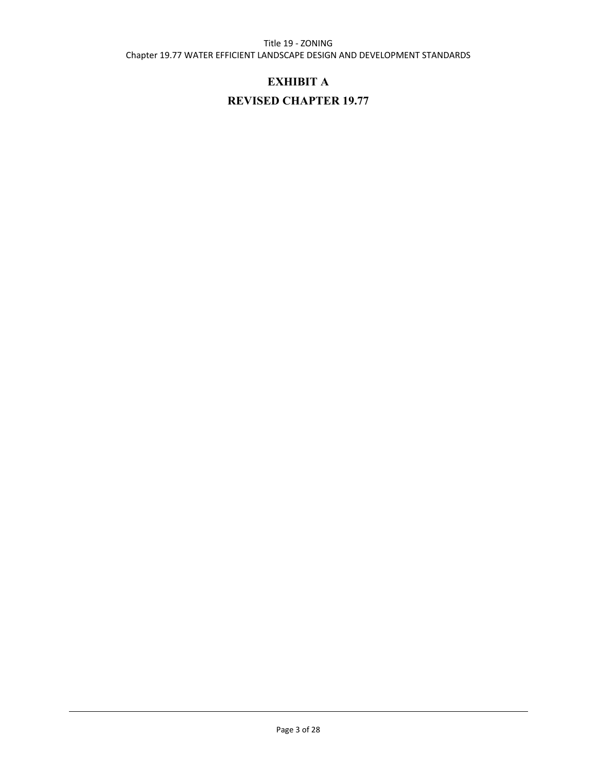#### Title 19 - ZONING

Chapter 19.77 WATER EFFICIENT LANDSCAPE DESIGN AND DEVELOPMENT STANDARDS

## **EXHIBIT A**

# **REVISED CHAPTER 19.77**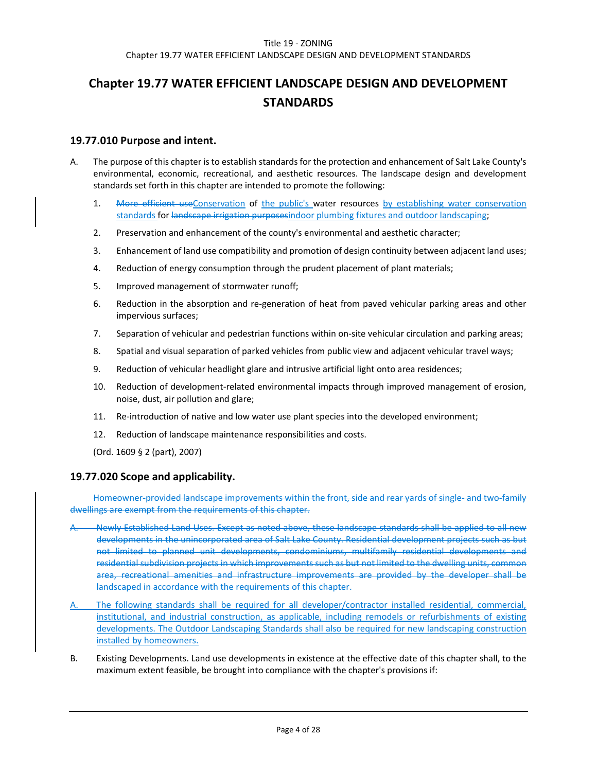# **Chapter 19.77 WATER EFFICIENT LANDSCAPE DESIGN AND DEVELOPMENT STANDARDS**

#### **19.77.010 Purpose and intent.**

- A. The purpose of this chapter is to establish standards for the protection and enhancement of Salt Lake County's environmental, economic, recreational, and aesthetic resources. The landscape design and development standards set forth in this chapter are intended to promote the following:
	- 1. More efficient useConservation of the public's water resources by establishing water conservation standards for landscape irrigation purposesindoor plumbing fixtures and outdoor landscaping;
	- 2. Preservation and enhancement of the county's environmental and aesthetic character;
	- 3. Enhancement of land use compatibility and promotion of design continuity between adjacent land uses;
	- 4. Reduction of energy consumption through the prudent placement of plant materials;
	- 5. Improved management of stormwater runoff;
	- 6. Reduction in the absorption and re-generation of heat from paved vehicular parking areas and other impervious surfaces;
	- 7. Separation of vehicular and pedestrian functions within on-site vehicular circulation and parking areas;
	- 8. Spatial and visual separation of parked vehicles from public view and adjacent vehicular travel ways;
	- 9. Reduction of vehicular headlight glare and intrusive artificial light onto area residences;
	- 10. Reduction of development-related environmental impacts through improved management of erosion, noise, dust, air pollution and glare;
	- 11. Re-introduction of native and low water use plant species into the developed environment;
	- 12. Reduction of landscape maintenance responsibilities and costs.
	- (Ord. 1609 § 2 (part), 2007)

#### **19.77.020 Scope and applicability.**

Homeowner-provided landscape improvements within the front, side and rear yards of single- and two-family dwellings are exempt from the requirements of this chapter.

- A. Newly Established Land Uses. Except as noted above, these landscape standards shall be applied to all new developments in the unincorporated area of Salt Lake County. Residential development projects such as but not limited to planned unit developments, condominiums, multifamily residential developments and residential subdivision projects in which improvements such as but not limited to the dwelling units, common area, recreational amenities and infrastructure improvements are provided by the developer shall be landscaped in accordance with the requirements of this chapter.
- A. The following standards shall be required for all developer/contractor installed residential, commercial, institutional, and industrial construction, as applicable, including remodels or refurbishments of existing developments. The Outdoor Landscaping Standards shall also be required for new landscaping construction installed by homeowners.
- B. Existing Developments. Land use developments in existence at the effective date of this chapter shall, to the maximum extent feasible, be brought into compliance with the chapter's provisions if: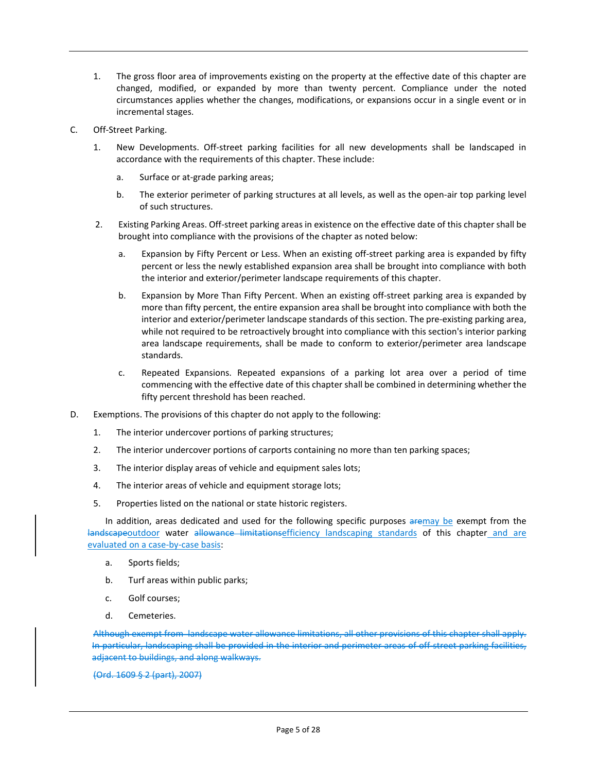- 1. The gross floor area of improvements existing on the property at the effective date of this chapter are changed, modified, or expanded by more than twenty percent. Compliance under the noted circumstances applies whether the changes, modifications, or expansions occur in a single event or in incremental stages.
- C. Off-Street Parking.
	- 1. New Developments. Off-street parking facilities for all new developments shall be landscaped in accordance with the requirements of this chapter. These include:
		- a. Surface or at-grade parking areas;
		- b. The exterior perimeter of parking structures at all levels, as well as the open-air top parking level of such structures.
	- 2. Existing Parking Areas. Off-street parking areas in existence on the effective date of this chapter shall be brought into compliance with the provisions of the chapter as noted below:
		- a. Expansion by Fifty Percent or Less. When an existing off-street parking area is expanded by fifty percent or less the newly established expansion area shall be brought into compliance with both the interior and exterior/perimeter landscape requirements of this chapter.
		- b. Expansion by More Than Fifty Percent. When an existing off-street parking area is expanded by more than fifty percent, the entire expansion area shall be brought into compliance with both the interior and exterior/perimeter landscape standards of this section. The pre-existing parking area, while not required to be retroactively brought into compliance with this section's interior parking area landscape requirements, shall be made to conform to exterior/perimeter area landscape standards.
		- c. Repeated Expansions. Repeated expansions of a parking lot area over a period of time commencing with the effective date of this chapter shall be combined in determining whether the fifty percent threshold has been reached.
- D. Exemptions. The provisions of this chapter do not apply to the following:
	- 1. The interior undercover portions of parking structures;
	- 2. The interior undercover portions of carports containing no more than ten parking spaces;
	- 3. The interior display areas of vehicle and equipment sales lots;
	- 4. The interior areas of vehicle and equipment storage lots;
	- 5. Properties listed on the national or state historic registers.

In addition, areas dedicated and used for the following specific purposes aremay be exempt from the landscapeoutdoor water allowance limitationsefficiency landscaping standards of this chapter and are evaluated on a case-by-case basis:

- a. Sports fields;
- b. Turf areas within public parks;
- c. Golf courses;
- d. Cemeteries.

Although exempt from landscape water allowance limitations, all other provisions of this chapter shall apply. In particular, landscaping shall be provided in the interior and perimeter areas of off-street parking facilities, adjacent to buildings, and along walkways.

(Ord. 1609 § 2 (part), 2007)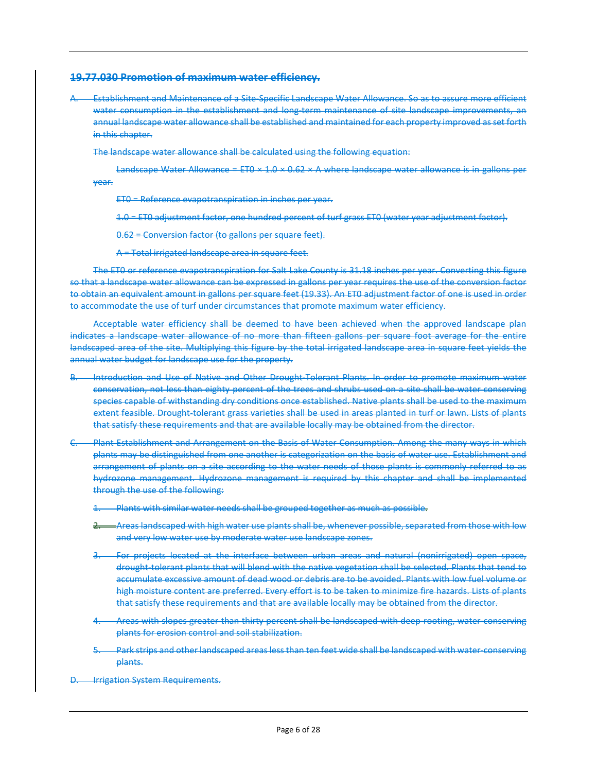#### **19.77.030 Promotion of maximum water efficiency.**

A. Establishment and Maintenance of a Site-Specific Landscape Water Allowance. So as to assure more efficient water consumption in the establishment and long-term maintenance of site landscape improvements, an annual landscape water allowance shall be established and maintained for each property improved as set forth in this chapter.

The landscape water allowance shall be calculated using the following equation:

Landscape Water Allowance = ETO  $\times$  1.0  $\times$  0.62  $\times$  A where landscape water allowance is in gallons per year.

ET0 = Reference evapotranspiration in inches per year.

1.0 = ET0 adjustment factor, one hundred percent of turf grass ET0 (water year adjustment factor).

0.62 = Conversion factor (to gallons per square feet).

A = Total irrigated landscape area in square feet.

The ET0 or reference evapotranspiration for Salt Lake County is 31.18 inches per year. Converting this figure so that a landscape water allowance can be expressed in gallons per year requires the use of the conversion factor to obtain an equivalent amount in gallons per square feet (19.33). An ET0 adjustment factor of one is used in order to accommodate the use of turf under circumstances that promote maximum water efficiency.

Acceptable water efficiency shall be deemed to have been achieved when the approved landscape plan indicates a landscape water allowance of no more than fifteen gallons per square foot average for the entire landscaped area of the site. Multiplying this figure by the total irrigated landscape area in square feet yields the annual water budget for landscape use for the property.

- B. Introduction and Use of Native and Other Drought-Tolerant Plants. In order to promote maximum water conservation, not less than eighty percent of the trees and shrubs used on a site shall be water conserving species capable of withstanding dry conditions once established. Native plants shall be used to the maximum extent feasible. Drought-tolerant grass varieties shall be used in areas planted in turf or lawn. Lists of plants that satisfy these requirements and that are available locally may be obtained from the director.
- Plant Establishment and Arrangement on the Basis of Water Consumption. Among the many ways in which plants may be distinguished from one another is categorization on the basis of water use. Establishment and arrangement of plants on a site according to the water needs of those plants is commonly referred to as hydrozone management. Hydrozone management is required by this chapter and shall be implemented through the use of the following:
	- Plants with similar water needs shall be grouped together as much as possible.
	- 2. Areas landscaped with high water use plants shall be, whenever possible, separated from those with low and very low water use by moderate water use landscape zones.
	- 3. For projects located at the interface between urban areas and natural (nonirrigated) open space, drought-tolerant plants that will blend with the native vegetation shall be selected. Plants that tend to accumulate excessive amount of dead wood or debris are to be avoided. Plants with low fuel volume or high moisture content are preferred. Every effort is to be taken to minimize fire hazards. Lists of plants that satisfy these requirements and that are available locally may be obtained from the director.
	- 4. Areas with slopes greater than thirty percent shall be landscaped with deep-rooting, water-conserving plants for erosion control and soil stabilization.
	- Park strips and other landscaped areas less than ten feet wide shall be landscaped with water-conserving plants.
- **Irrigation System Requirements.**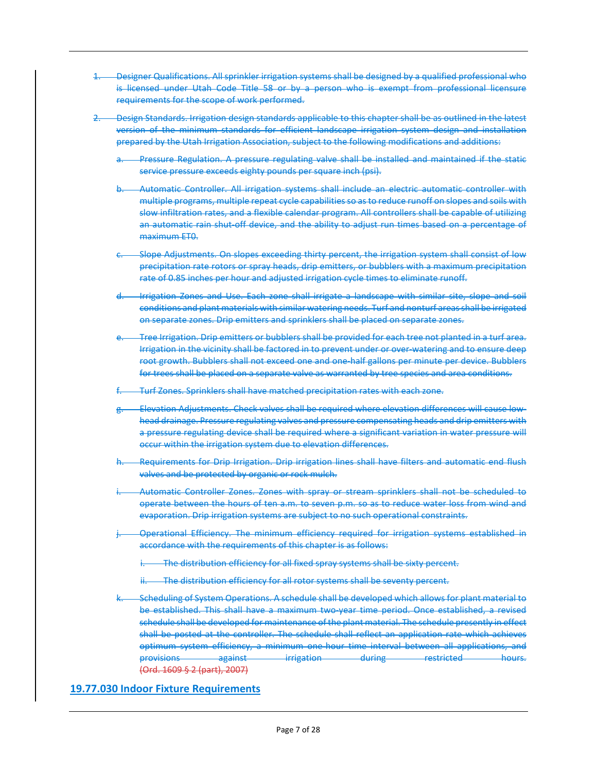- 1. Designer Qualifications. All sprinkler irrigation systems shall be designed by a qualified professional who is licensed under Utah Code Title 58 or by a person who is exempt from professional licensure requirements for the scope of work performed.
- 2. Design Standards. Irrigation design standards applicable to this chapter shall be as outlined in the latest version of the minimum standards for efficient landscape irrigation system design and installation prepared by the Utah Irrigation Association, subject to the following modifications and additions:
	- Pressure Regulation. A pressure regulating valve shall be installed and maintained if the static service pressure exceeds eighty pounds per square inch (psi).
	- b. Automatic Controller. All irrigation systems shall include an electric automatic controller with multiple programs, multiple repeat cycle capabilities so as to reduce runoff on slopes and soils with slow infiltration rates, and a flexible calendar program. All controllers shall be capable of utilizing an automatic rain shut-off device, and the ability to adjust run times based on a percentage of maximum ET0.
	- Slope Adjustments. On slopes exceeding thirty percent, the irrigation system shall consist of low precipitation rate rotors or spray heads, drip emitters, or bubblers with a maximum precipitation rate of 0.85 inches per hour and adjusted irrigation cycle times to eliminate runoff.
	- Irrigation Zones and Use. Each zone shall irrigate a landscape with similar site, slope and soil conditions and plant materials with similar watering needs. Turf and nonturf areas shall be irrigated on separate zones. Drip emitters and sprinklers shall be placed on separate zones.
	- Tree Irrigation. Drip emitters or bubblers shall be provided for each tree not planted in a turf area. Irrigation in the vicinity shall be factored in to prevent under or over-watering and to ensure deep root growth. Bubblers shall not exceed one and one-half gallons per minute per device. Bubblers for trees shall be placed on a separate valve as warranted by tree species and area conditions.
	- Turf Zones. Sprinklers shall have matched precipitation rates with each zone.
	- Elevation Adjustments. Check valves shall be required where elevation differences will cause lowhead drainage. Pressure regulating valves and pressure compensating heads and drip emitters with a pressure regulating device shall be required where a significant variation in water pressure will occur within the irrigation system due to elevation differences.
	- Requirements for Drip Irrigation. Drip irrigation lines shall have filters and automatic end flush valves and be protected by organic or rock mulch.
	- Automatic Controller Zones. Zones with spray or stream sprinklers shall not be scheduled to operate between the hours of ten a.m. to seven p.m. so as to reduce water loss from wind and evaporation. Drip irrigation systems are subject to no such operational constraints.
	- Operational Efficiency. The minimum efficiency required for irrigation systems established in accordance with the requirements of this chapter is as follows:
		- The distribution efficiency for all fixed spray systems shall be sixty percent.
		- The distribution efficiency for all rotor systems shall be seventy percent.
	- Scheduling of System Operations. A schedule shall be developed which allows for plant material to be established. This shall have a maximum two-year time period. Once established, a revised schedule shall be developed for maintenance of the plant material. The schedule presently in effect shall be posted at the controller. The schedule shall reflect an application rate which achieves optimum system efficiency, a minimum one-hour time interval between all applications, and provisions against irrigation during restricted hours. (Ord. 1609 § 2 (part), 2007)

#### **19.77.030 Indoor Fixture Requirements**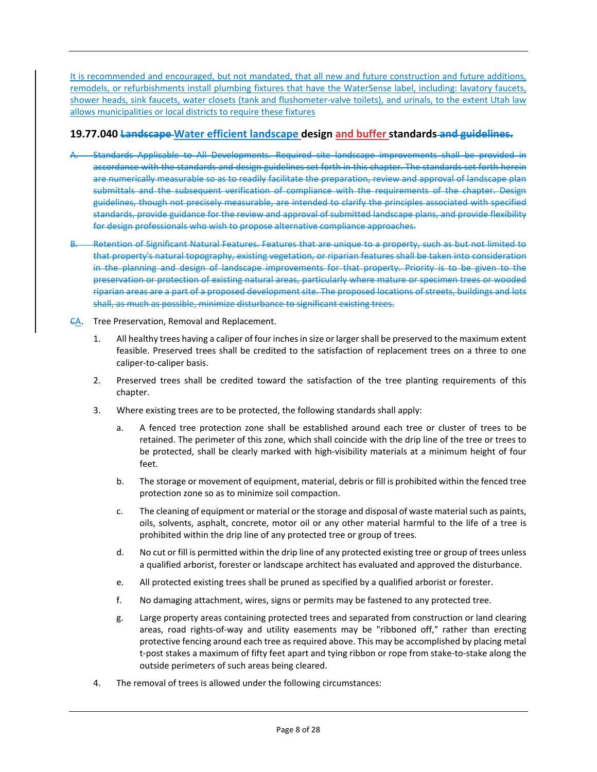It is recommended and encouraged, but not mandated, that all new and future construction and future additions, remodels, or refurbishments install plumbing fixtures that have the WaterSense label, including: lavatory faucets, shower heads, sink faucets, water closets (tank and flushometer-valve toilets), and urinals, to the extent Utah law allows municipalities or local districts to require these fixtures

## **19.77.040 Landscape Water efficient landscape design and buffer standards and guidelines.**

- Standards Applicable to All Developments. Required site landscape improvements shall be provided in accordance with the standards and design guidelines set forth in this chapter. The standards set forth herein are numerically measurable so as to readily facilitate the preparation, review and approval of landscape plan submittals and the subsequent verification of compliance with the requirements of the chapter. Design guidelines, though not precisely measurable, are intended to clarify the principles associated with specified standards, provide guidance for the review and approval of submitted landscape plans, and provide flexibility for design professionals who wish to propose alternative compliance approaches.
- B. Retention of Significant Natural Features. Features that are unique to a property, such as but not limited to that property's natural topography, existing vegetation, or riparian features shall be taken into consideration in the planning and design of landscape improvements for that property. Priority is to be given to the preservation or protection of existing natural areas, particularly where mature or specimen trees or wooded riparian areas are a part of a proposed development site. The proposed locations of streets, buildings and lots shall, as much as possible, minimize disturbance to significant existing trees.
- CA. Tree Preservation, Removal and Replacement.
	- 1. All healthy trees having a caliper of four inchesin size or larger shall be preserved to the maximum extent feasible. Preserved trees shall be credited to the satisfaction of replacement trees on a three to one caliper-to-caliper basis.
	- 2. Preserved trees shall be credited toward the satisfaction of the tree planting requirements of this chapter.
	- 3. Where existing trees are to be protected, the following standards shall apply:
		- a. A fenced tree protection zone shall be established around each tree or cluster of trees to be retained. The perimeter of this zone, which shall coincide with the drip line of the tree or trees to be protected, shall be clearly marked with high-visibility materials at a minimum height of four feet.
		- b. The storage or movement of equipment, material, debris or fill is prohibited within the fenced tree protection zone so as to minimize soil compaction.
		- c. The cleaning of equipment or material or the storage and disposal of waste material such as paints, oils, solvents, asphalt, concrete, motor oil or any other material harmful to the life of a tree is prohibited within the drip line of any protected tree or group of trees.
		- d. No cut or fill is permitted within the drip line of any protected existing tree or group of trees unless a qualified arborist, forester or landscape architect has evaluated and approved the disturbance.
		- e. All protected existing trees shall be pruned as specified by a qualified arborist or forester.
		- f. No damaging attachment, wires, signs or permits may be fastened to any protected tree.
		- g. Large property areas containing protected trees and separated from construction or land clearing areas, road rights-of-way and utility easements may be "ribboned off," rather than erecting protective fencing around each tree as required above. This may be accomplished by placing metal t-post stakes a maximum of fifty feet apart and tying ribbon or rope from stake-to-stake along the outside perimeters of such areas being cleared.
	- 4. The removal of trees is allowed under the following circumstances: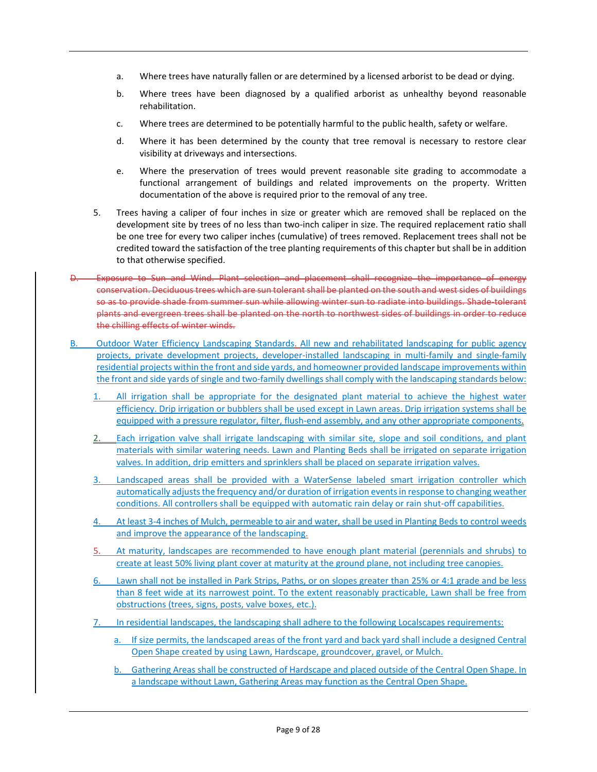- a. Where trees have naturally fallen or are determined by a licensed arborist to be dead or dying.
- b. Where trees have been diagnosed by a qualified arborist as unhealthy beyond reasonable rehabilitation.
- c. Where trees are determined to be potentially harmful to the public health, safety or welfare.
- d. Where it has been determined by the county that tree removal is necessary to restore clear visibility at driveways and intersections.
- e. Where the preservation of trees would prevent reasonable site grading to accommodate a functional arrangement of buildings and related improvements on the property. Written documentation of the above is required prior to the removal of any tree.
- 5. Trees having a caliper of four inches in size or greater which are removed shall be replaced on the development site by trees of no less than two-inch caliper in size. The required replacement ratio shall be one tree for every two caliper inches (cumulative) of trees removed. Replacement trees shall not be credited toward the satisfaction of the tree planting requirements of this chapter but shall be in addition to that otherwise specified.
- D. Exposure to Sun and Wind. Plant selection and placement shall recognize the importance of energy conservation. Deciduous trees which are sun tolerant shall be planted on the south and west sides of buildings so as to provide shade from summer sun while allowing winter sun to radiate into buildings. Shade-tolerant plants and evergreen trees shall be planted on the north to northwest sides of buildings in order to reduce the chilling effects of winter winds.
- B. Outdoor Water Efficiency Landscaping Standards. All new and rehabilitated landscaping for public agency projects, private development projects, developer-installed landscaping in multi-family and single-family residential projects within the front and side yards, and homeowner provided landscape improvements within the front and side yards of single and two-family dwellings shall comply with the landscaping standards below:
	- All irrigation shall be appropriate for the designated plant material to achieve the highest water efficiency. Drip irrigation or bubblers shall be used except in Lawn areas. Drip irrigation systems shall be equipped with a pressure regulator, filter, flush-end assembly, and any other appropriate components.
	- 2. Each irrigation valve shall irrigate landscaping with similar site, slope and soil conditions, and plant materials with similar watering needs. Lawn and Planting Beds shall be irrigated on separate irrigation valves. In addition, drip emitters and sprinklers shall be placed on separate irrigation valves.
	- 3. Landscaped areas shall be provided with a WaterSense labeled smart irrigation controller which automatically adjusts the frequency and/or duration of irrigation events in response to changing weather conditions. All controllers shall be equipped with automatic rain delay or rain shut-off capabilities.
	- 4. At least 3-4 inches of Mulch, permeable to air and water, shall be used in Planting Beds to control weeds and improve the appearance of the landscaping.
	- 5. At maturity, landscapes are recommended to have enough plant material (perennials and shrubs) to create at least 50% living plant cover at maturity at the ground plane, not including tree canopies.
	- 6. Lawn shall not be installed in Park Strips, Paths, or on slopes greater than 25% or 4:1 grade and be less than 8 feet wide at its narrowest point. To the extent reasonably practicable, Lawn shall be free from obstructions (trees, signs, posts, valve boxes, etc.).
	- 7. In residential landscapes, the landscaping shall adhere to the following Localscapes requirements:
		- a. If size permits, the landscaped areas of the front yard and back yard shall include a designed Central Open Shape created by using Lawn, Hardscape, groundcover, gravel, or Mulch.
		- b. Gathering Areas shall be constructed of Hardscape and placed outside of the Central Open Shape. In a landscape without Lawn, Gathering Areas may function as the Central Open Shape.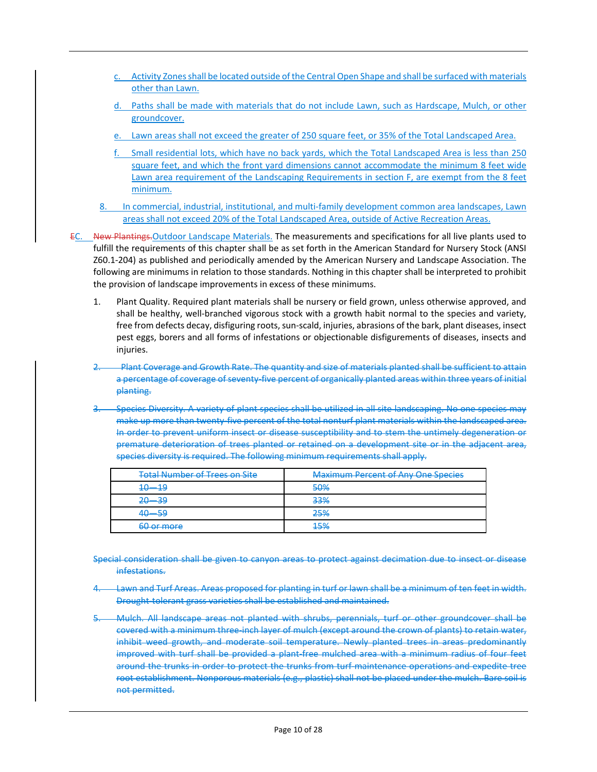- c. Activity Zones shall be located outside of the Central Open Shape and shall be surfaced with materials other than Lawn.
- d. Paths shall be made with materials that do not include Lawn, such as Hardscape, Mulch, or other groundcover.
- Lawn areas shall not exceed the greater of 250 square feet, or 35% of the Total Landscaped Area.
- f. Small residential lots, which have no back yards, which the Total Landscaped Area is less than 250 square feet, and which the front yard dimensions cannot accommodate the minimum 8 feet wide Lawn area requirement of the Landscaping Requirements in section F, are exempt from the 8 feet minimum.
- 8. In commercial, industrial, institutional, and multi-family development common area landscapes, Lawn areas shall not exceed 20% of the Total Landscaped Area, outside of Active Recreation Areas.

EC. New Plantings.Outdoor Landscape Materials. The measurements and specifications for all live plants used to fulfill the requirements of this chapter shall be as set forth in the American Standard for Nursery Stock (ANSI Z60.1-204) as published and periodically amended by the American Nursery and Landscape Association. The following are minimums in relation to those standards. Nothing in this chapter shall be interpreted to prohibit the provision of landscape improvements in excess of these minimums.

- 1. Plant Quality. Required plant materials shall be nursery or field grown, unless otherwise approved, and shall be healthy, well-branched vigorous stock with a growth habit normal to the species and variety, free from defects decay, disfiguring roots, sun-scald, injuries, abrasions of the bark, plant diseases, insect pest eggs, borers and all forms of infestations or objectionable disfigurements of diseases, insects and injuries.
- 2. Plant Coverage and Growth Rate. The quantity and size of materials planted shall be sufficient to attain a percentage of coverage of seventy-five percent of organically planted areas within three years of initial planting.
- 3. Species Diversity. A variety of plant species shall be utilized in all site landscaping. No one species may make up more than twenty-five percent of the total nonturf plant materials within the landscaped area. In order to prevent uniform insect or disease susceptibility and to stem the untimely degeneration or premature deterioration of trees planted or retained on a development site or in the adjacent area, species diversity is required. The following minimum requirements shall apply.

| <b>Total Number of Trees on Site</b> | <b>Maximum Percent of Any One Species</b> |
|--------------------------------------|-------------------------------------------|
| $10 - 10$                            | 50%                                       |
| $20 - 39$                            | 33%                                       |
| <u>10 50</u>                         | 25%                                       |
| 60 or more                           | 150/<br>1370                              |

- Special consideration shall be given to canyon areas to protect against decimation due to insect or disease infestations.
- Lawn and Turf Areas. Areas proposed for planting in turf or lawn shall be a minimum of ten feet in width. Drought-tolerant grass varieties shall be established and maintained.
- 5. Mulch. All landscape areas not planted with shrubs, perennials, turf or other groundcover shall be covered with a minimum three-inch layer of mulch (except around the crown of plants) to retain water, inhibit weed growth, and moderate soil temperature. Newly planted trees in areas predominantly improved with turf shall be provided a plant-free mulched area with a minimum radius of four feet around the trunks in order to protect the trunks from turf-maintenance operations and expedite tree root establishment. Nonporous materials (e.g., plastic) shall not be placed under the mulch. Bare soil is not permitted.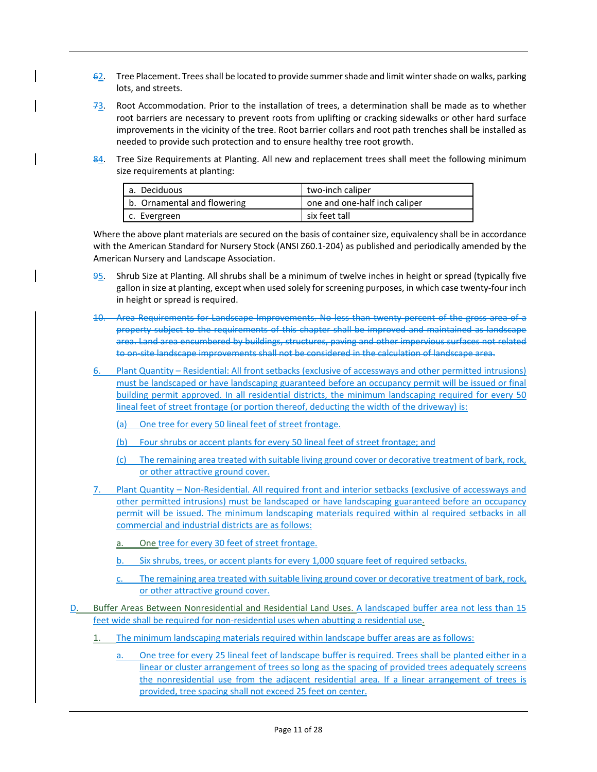- $62.$  Tree Placement. Trees shall be located to provide summer shade and limit winter shade on walks, parking lots, and streets.
- $73.$  Root Accommodation. Prior to the installation of trees, a determination shall be made as to whether root barriers are necessary to prevent roots from uplifting or cracking sidewalks or other hard surface improvements in the vicinity of the tree. Root barrier collars and root path trenches shall be installed as needed to provide such protection and to ensure healthy tree root growth.
- 84. Tree Size Requirements at Planting. All new and replacement trees shall meet the following minimum size requirements at planting:

| l a. Deciduous              | two-inch caliper              |
|-----------------------------|-------------------------------|
| b. Ornamental and flowering | one and one-half inch caliper |
| c. Evergreen                | six feet tall                 |

Where the above plant materials are secured on the basis of container size, equivalency shall be in accordance with the American Standard for Nursery Stock (ANSI Z60.1-204) as published and periodically amended by the American Nursery and Landscape Association.

- 95. Shrub Size at Planting. All shrubs shall be a minimum of twelve inches in height or spread (typically five gallon in size at planting, except when used solely for screening purposes, in which case twenty-four inch in height or spread is required.
- 10. Area Requirements for Landscape Improvements. No less than twenty percent of the gross area of a property subject to the requirements of this chapter shall be improved and maintained as landscape area. Land area encumbered by buildings, structures, paving and other impervious surfaces not related to on-site landscape improvements shall not be considered in the calculation of landscape area.
- 6. Plant Quantity Residential: All front setbacks (exclusive of accessways and other permitted intrusions) must be landscaped or have landscaping guaranteed before an occupancy permit will be issued or final building permit approved. In all residential districts, the minimum landscaping required for every 50 lineal feet of street frontage (or portion thereof, deducting the width of the driveway) is:
	- (a) One tree for every 50 lineal feet of street frontage.
	- (b) Four shrubs or accent plants for every 50 lineal feet of street frontage; and
	- (c) The remaining area treated with suitable living ground cover or decorative treatment of bark, rock, or other attractive ground cover.
- Plant Quantity Non-Residential. All required front and interior setbacks (exclusive of accessways and other permitted intrusions) must be landscaped or have landscaping guaranteed before an occupancy permit will be issued. The minimum landscaping materials required within al required setbacks in all commercial and industrial districts are as follows:
	- One tree for every 30 feet of street frontage.
	- Six shrubs, trees, or accent plants for every 1,000 square feet of required setbacks.
	- The remaining area treated with suitable living ground cover or decorative treatment of bark, rock, or other attractive ground cover.
- D. Buffer Areas Between Nonresidential and Residential Land Uses. A landscaped buffer area not less than 15 feet wide shall be required for non-residential uses when abutting a residential use.
	- The minimum landscaping materials required within landscape buffer areas are as follows:
		- a. One tree for every 25 lineal feet of landscape buffer is required. Trees shall be planted either in a linear or cluster arrangement of trees so long as the spacing of provided trees adequately screens the nonresidential use from the adjacent residential area. If a linear arrangement of trees is provided, tree spacing shall not exceed 25 feet on center.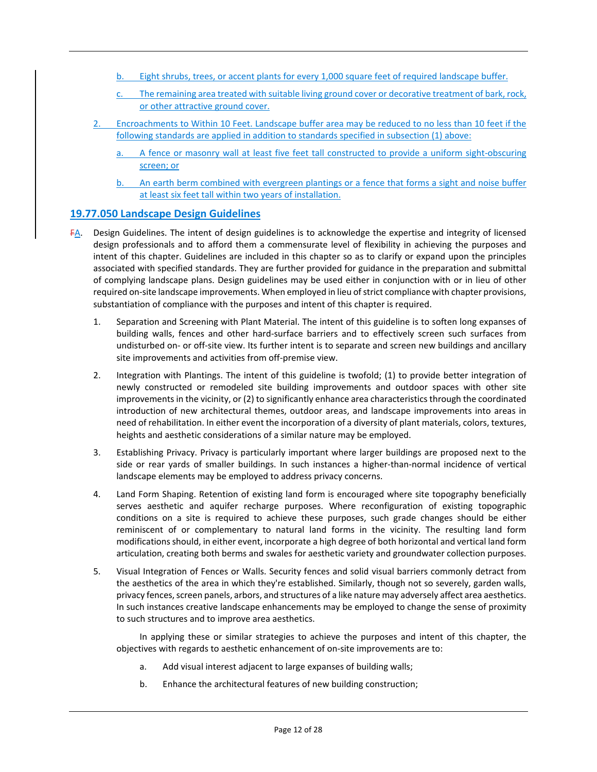- Eight shrubs, trees, or accent plants for every 1,000 square feet of required landscape buffer.
- The remaining area treated with suitable living ground cover or decorative treatment of bark, rock, or other attractive ground cover.
- 2. Encroachments to Within 10 Feet. Landscape buffer area may be reduced to no less than 10 feet if the following standards are applied in addition to standards specified in subsection (1) above:
	- a. A fence or masonry wall at least five feet tall constructed to provide a uniform sight-obscuring screen; or
	- b. An earth berm combined with evergreen plantings or a fence that forms a sight and noise buffer at least six feet tall within two years of installation.

## **19.77.050 Landscape Design Guidelines**

- FA. Design Guidelines. The intent of design guidelines is to acknowledge the expertise and integrity of licensed design professionals and to afford them a commensurate level of flexibility in achieving the purposes and intent of this chapter. Guidelines are included in this chapter so as to clarify or expand upon the principles associated with specified standards. They are further provided for guidance in the preparation and submittal of complying landscape plans. Design guidelines may be used either in conjunction with or in lieu of other required on-site landscape improvements. When employed in lieu of strict compliance with chapter provisions, substantiation of compliance with the purposes and intent of this chapter is required.
	- 1. Separation and Screening with Plant Material. The intent of this guideline is to soften long expanses of building walls, fences and other hard-surface barriers and to effectively screen such surfaces from undisturbed on- or off-site view. Its further intent is to separate and screen new buildings and ancillary site improvements and activities from off-premise view.
	- 2. Integration with Plantings. The intent of this guideline is twofold; (1) to provide better integration of newly constructed or remodeled site building improvements and outdoor spaces with other site improvements in the vicinity, or (2) to significantly enhance area characteristics through the coordinated introduction of new architectural themes, outdoor areas, and landscape improvements into areas in need of rehabilitation. In either event the incorporation of a diversity of plant materials, colors, textures, heights and aesthetic considerations of a similar nature may be employed.
	- 3. Establishing Privacy. Privacy is particularly important where larger buildings are proposed next to the side or rear yards of smaller buildings. In such instances a higher-than-normal incidence of vertical landscape elements may be employed to address privacy concerns.
	- 4. Land Form Shaping. Retention of existing land form is encouraged where site topography beneficially serves aesthetic and aquifer recharge purposes. Where reconfiguration of existing topographic conditions on a site is required to achieve these purposes, such grade changes should be either reminiscent of or complementary to natural land forms in the vicinity. The resulting land form modifications should, in either event, incorporate a high degree of both horizontal and vertical land form articulation, creating both berms and swales for aesthetic variety and groundwater collection purposes.
	- 5. Visual Integration of Fences or Walls. Security fences and solid visual barriers commonly detract from the aesthetics of the area in which they're established. Similarly, though not so severely, garden walls, privacy fences, screen panels, arbors, and structures of a like nature may adversely affect area aesthetics. In such instances creative landscape enhancements may be employed to change the sense of proximity to such structures and to improve area aesthetics.

In applying these or similar strategies to achieve the purposes and intent of this chapter, the objectives with regards to aesthetic enhancement of on-site improvements are to:

- a. Add visual interest adjacent to large expanses of building walls;
- b. Enhance the architectural features of new building construction;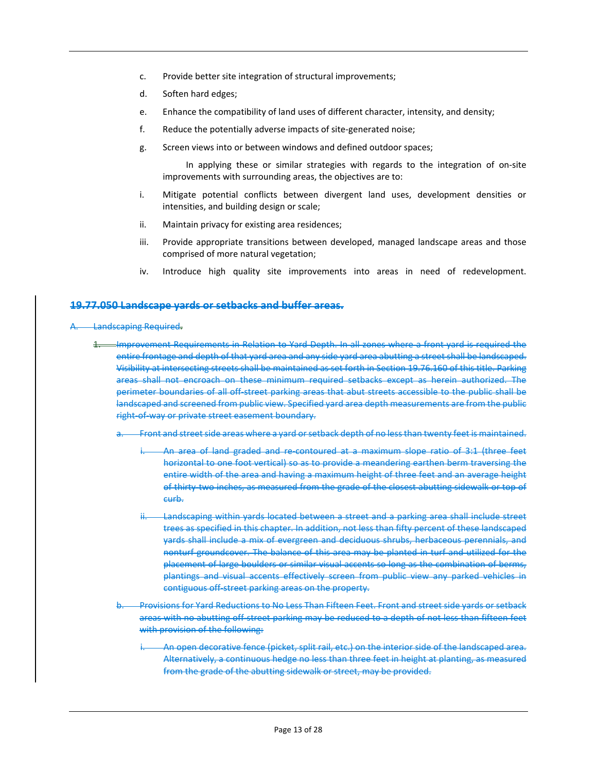- c. Provide better site integration of structural improvements;
- d. Soften hard edges;
- e. Enhance the compatibility of land uses of different character, intensity, and density;
- f. Reduce the potentially adverse impacts of site-generated noise;
- g. Screen views into or between windows and defined outdoor spaces;

In applying these or similar strategies with regards to the integration of on-site improvements with surrounding areas, the objectives are to:

- i. Mitigate potential conflicts between divergent land uses, development densities or intensities, and building design or scale;
- ii. Maintain privacy for existing area residences;
- iii. Provide appropriate transitions between developed, managed landscape areas and those comprised of more natural vegetation;
- iv. Introduce high quality site improvements into areas in need of redevelopment.

#### **19.77.050 Landscape yards or setbacks and buffer areas.**

#### Landscaping Required.

- 1. Improvement Requirements in Relation to Yard Depth. In all zones where a front yard is required the entire frontage and depth of that yard area and any side yard area abutting a street shall be landscaped. Visibility at intersecting streets shall be maintained as set forth in Section 19.76.160 of this title. Parking areas shall not encroach on these minimum required setbacks except as herein authorized. The perimeter boundaries of all off-street parking areas that abut streets accessible to the public shall be landscaped and screened from public view. Specified yard area depth measurements are from the public right-of-way or private street easement boundary.
	- Front and street side areas where a yard or setback depth of no less than twenty feet is maintained.
		- An area of land graded and re-contoured at a maximum slope ratio of 3:1 (three feet horizontal to one foot vertical) so as to provide a meandering earthen berm traversing the entire width of the area and having a maximum height of three feet and an average height of thirty-two inches, as measured from the grade of the closest abutting sidewalk or top of curb.
		- Landscaping within yards located between a street and a parking area shall include street trees as specified in this chapter. In addition, not less than fifty percent of these landscaped yards shall include a mix of evergreen and deciduous shrubs, herbaceous perennials, and nonturf groundcover. The balance of this area may be planted in turf and utilized for the placement of large boulders or similar visual accents so long as the combination of berms, plantings and visual accents effectively screen from public view any parked vehicles in contiguous off-street parking areas on the property.
	- Provisions for Yard Reductions to No Less Than Fifteen Feet. Front and street side yards or setback areas with no abutting off-street parking may be reduced to a depth of not less than fifteen feet with provision of the following:
		- An open decorative fence (picket, split rail, etc.) on the interior side of the landscaped area. Alternatively, a continuous hedge no less than three feet in height at planting, as measured from the grade of the abutting sidewalk or street, may be provided.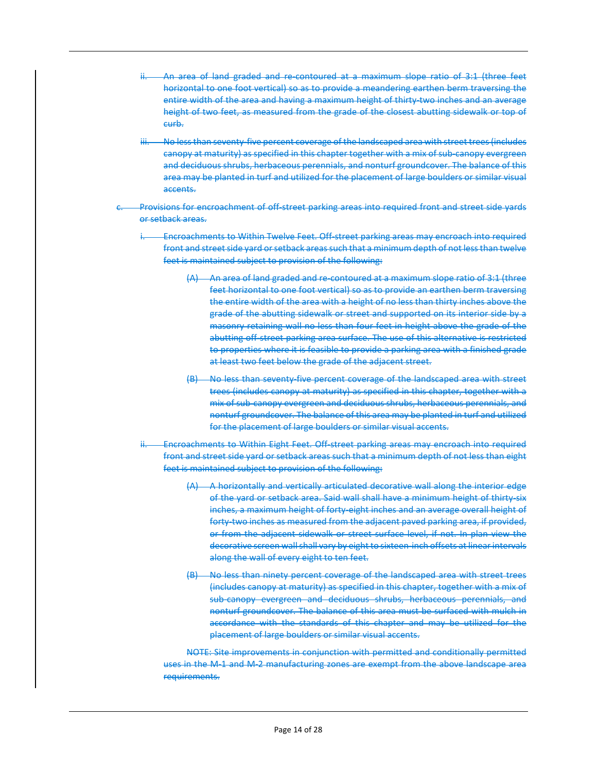- ii. An area of land graded and re-contoured at a maximum slope ratio of 3:1 (three feet horizontal to one foot vertical) so as to provide a meandering earthen berm traversing the entire width of the area and having a maximum height of thirty-two inches and an average height of two feet, as measured from the grade of the closest abutting sidewalk or top of curb.
- No less than seventy-five percent coverage of the landscaped area with street trees (includes canopy at maturity) as specified in this chapter together with a mix of sub-canopy evergreen and deciduous shrubs, herbaceous perennials, and nonturf groundcover. The balance of this area may be planted in turf and utilized for the placement of large boulders or similar visual accents.
- Provisions for encroachment of off-street parking areas into required front and street side yards or setback areas.
	- i. Encroachments to Within Twelve Feet. Off-street parking areas may encroach into required front and street side yard or setback areas such that a minimum depth of not less than twelve feet is maintained subject to provision of the following:
		- (A) An area of land graded and re-contoured at a maximum slope ratio of 3:1 (three feet horizontal to one foot vertical) so as to provide an earthen berm traversing the entire width of the area with a height of no less than thirty inches above the grade of the abutting sidewalk or street and supported on its interior side by a masonry retaining wall no less than four feet in height above the grade of the abutting off-street parking area surface. The use of this alternative is restricted to properties where it is feasible to provide a parking area with a finished grade at least two feet below the grade of the adjacent street.
		- (B) No less than seventy-five percent coverage of the landscaped area with street trees (includes canopy at maturity) as specified in this chapter, together with a mix of sub-canopy evergreen and deciduous shrubs, herbaceous perennials, and nonturf groundcover. The balance of this area may be planted in turf and utilized for the placement of large boulders or similar visual accents.
	- Encroachments to Within Eight Feet. Off-street parking areas may encroach into required front and street side yard or setback areas such that a minimum depth of not less than eight feet is maintained subject to provision of the following:
		- (A) A horizontally and vertically articulated decorative wall along the interior edge of the yard or setback area. Said wall shall have a minimum height of thirty-six inches, a maximum height of forty-eight inches and an average overall height of forty-two inches as measured from the adjacent paved parking area, if provided, or from the adjacent sidewalk or street surface level, if not. In plan view the decorative screen wall shall vary by eight to sixteen-inch offsets at linear intervals along the wall of every eight to ten feet.
		- (B) No less than ninety percent coverage of the landscaped area with street trees (includes canopy at maturity) as specified in this chapter, together with a mix of sub-canopy evergreen and deciduous shrubs, herbaceous perennials, and nonturf groundcover. The balance of this area must be surfaced with mulch in accordance with the standards of this chapter and may be utilized for the placement of large boulders or similar visual accents.

NOTE: Site improvements in conjunction with permitted and conditionally permitted uses in the M-1 and M-2 manufacturing zones are exempt from the above landscape area requirements.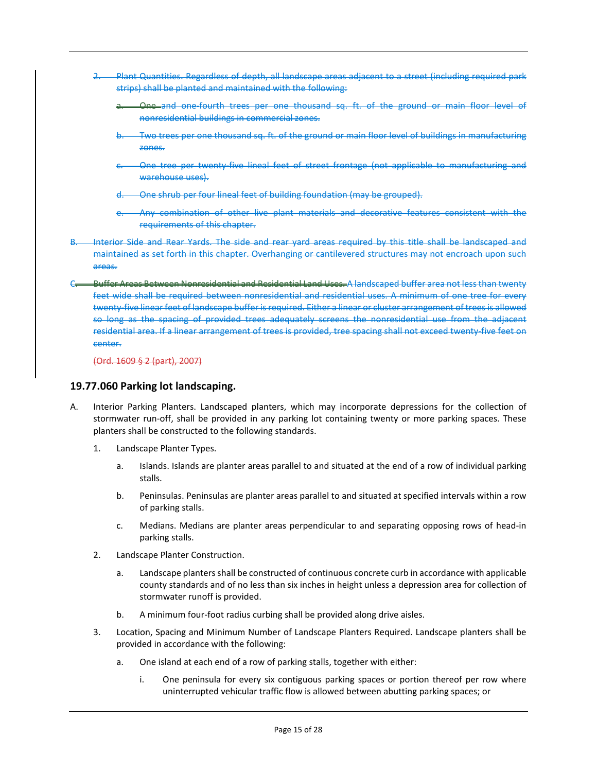- 2. Plant Quantities. Regardless of depth, all landscape areas adjacent to a street (including required park strips) shall be planted and maintained with the following:
	- One and one-fourth trees per one thousand sq. ft. of the ground or main floor level of nonresidential buildings in commercial zones.
	- Two trees per one thousand sq. ft. of the ground or main floor level of buildings in manufacturing zones.
	- One tree per twenty-five lineal feet of street frontage (not applicable to manufacturing and warehouse uses).
	- One shrub per four lineal feet of building foundation (may be grouped).
	- Any combination of other live plant materials and decorative features consistent with the requirements of this chapter.
- Interior Side and Rear Yards. The side and rear yard areas required by this title shall be landscaped and maintained as set forth in this chapter. Overhanging or cantilevered structures may not encroach upon such areas.
- Buffer Areas Between Nonresidential and Residential Land Uses. A landscaped buffer area not less than twenty feet wide shall be required between nonresidential and residential uses. A minimum of one tree for every twenty-five linear feet of landscape buffer is required. Either a linear or cluster arrangement of trees is allowed so long as the spacing of provided trees adequately screens the nonresidential use from the adjacent residential area. If a linear arrangement of trees is provided, tree spacing shall not exceed twenty-five feet on center.

#### **19.77.060 Parking lot landscaping.**

- A. Interior Parking Planters. Landscaped planters, which may incorporate depressions for the collection of stormwater run-off, shall be provided in any parking lot containing twenty or more parking spaces. These planters shall be constructed to the following standards.
	- 1. Landscape Planter Types.
		- a. Islands. Islands are planter areas parallel to and situated at the end of a row of individual parking stalls.
		- b. Peninsulas. Peninsulas are planter areas parallel to and situated at specified intervals within a row of parking stalls.
		- c. Medians. Medians are planter areas perpendicular to and separating opposing rows of head-in parking stalls.
	- 2. Landscape Planter Construction.
		- a. Landscape planters shall be constructed of continuous concrete curb in accordance with applicable county standards and of no less than six inches in height unless a depression area for collection of stormwater runoff is provided.
		- b. A minimum four-foot radius curbing shall be provided along drive aisles.
	- 3. Location, Spacing and Minimum Number of Landscape Planters Required. Landscape planters shall be provided in accordance with the following:
		- a. One island at each end of a row of parking stalls, together with either:
			- i. One peninsula for every six contiguous parking spaces or portion thereof per row where uninterrupted vehicular traffic flow is allowed between abutting parking spaces; or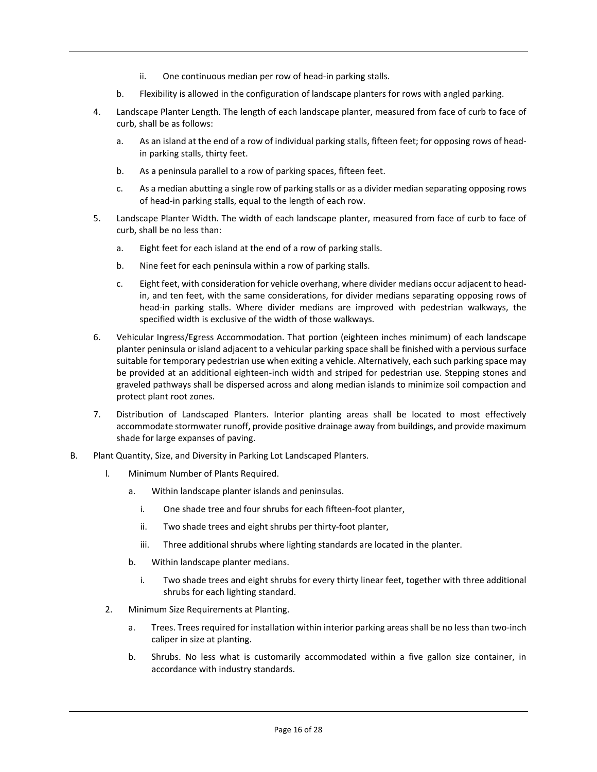- ii. One continuous median per row of head-in parking stalls.
- b. Flexibility is allowed in the configuration of landscape planters for rows with angled parking.
- 4. Landscape Planter Length. The length of each landscape planter, measured from face of curb to face of curb, shall be as follows:
	- a. As an island at the end of a row of individual parking stalls, fifteen feet; for opposing rows of headin parking stalls, thirty feet.
	- b. As a peninsula parallel to a row of parking spaces, fifteen feet.
	- c. As a median abutting a single row of parking stalls or as a divider median separating opposing rows of head-in parking stalls, equal to the length of each row.
- 5. Landscape Planter Width. The width of each landscape planter, measured from face of curb to face of curb, shall be no less than:
	- a. Eight feet for each island at the end of a row of parking stalls.
	- b. Nine feet for each peninsula within a row of parking stalls.
	- c. Eight feet, with consideration for vehicle overhang, where divider medians occur adjacent to headin, and ten feet, with the same considerations, for divider medians separating opposing rows of head-in parking stalls. Where divider medians are improved with pedestrian walkways, the specified width is exclusive of the width of those walkways.
- 6. Vehicular Ingress/Egress Accommodation. That portion (eighteen inches minimum) of each landscape planter peninsula or island adjacent to a vehicular parking space shall be finished with a pervious surface suitable for temporary pedestrian use when exiting a vehicle. Alternatively, each such parking space may be provided at an additional eighteen-inch width and striped for pedestrian use. Stepping stones and graveled pathways shall be dispersed across and along median islands to minimize soil compaction and protect plant root zones.
- 7. Distribution of Landscaped Planters. Interior planting areas shall be located to most effectively accommodate stormwater runoff, provide positive drainage away from buildings, and provide maximum shade for large expanses of paving.
- B. Plant Quantity, Size, and Diversity in Parking Lot Landscaped Planters.
	- l. Minimum Number of Plants Required.
		- a. Within landscape planter islands and peninsulas.
			- i. One shade tree and four shrubs for each fifteen-foot planter,
			- ii. Two shade trees and eight shrubs per thirty-foot planter,
			- iii. Three additional shrubs where lighting standards are located in the planter.
		- b. Within landscape planter medians.
			- i. Two shade trees and eight shrubs for every thirty linear feet, together with three additional shrubs for each lighting standard.
	- 2. Minimum Size Requirements at Planting.
		- a. Trees. Trees required for installation within interior parking areas shall be no less than two-inch caliper in size at planting.
		- b. Shrubs. No less what is customarily accommodated within a five gallon size container, in accordance with industry standards.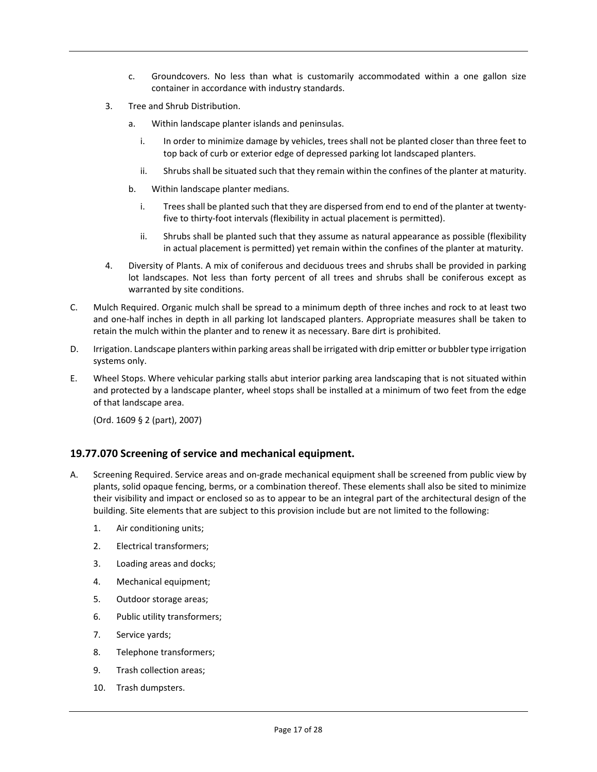- c. Groundcovers. No less than what is customarily accommodated within a one gallon size container in accordance with industry standards.
- 3. Tree and Shrub Distribution.
	- a. Within landscape planter islands and peninsulas.
		- i. In order to minimize damage by vehicles, trees shall not be planted closer than three feet to top back of curb or exterior edge of depressed parking lot landscaped planters.
		- ii. Shrubs shall be situated such that they remain within the confines of the planter at maturity.
	- b. Within landscape planter medians.
		- i. Trees shall be planted such that they are dispersed from end to end of the planter at twentyfive to thirty-foot intervals (flexibility in actual placement is permitted).
		- ii. Shrubs shall be planted such that they assume as natural appearance as possible (flexibility in actual placement is permitted) yet remain within the confines of the planter at maturity.
- 4. Diversity of Plants. A mix of coniferous and deciduous trees and shrubs shall be provided in parking lot landscapes. Not less than forty percent of all trees and shrubs shall be coniferous except as warranted by site conditions.
- C. Mulch Required. Organic mulch shall be spread to a minimum depth of three inches and rock to at least two and one-half inches in depth in all parking lot landscaped planters. Appropriate measures shall be taken to retain the mulch within the planter and to renew it as necessary. Bare dirt is prohibited.
- D. Irrigation. Landscape planters within parking areas shall be irrigated with drip emitter or bubbler type irrigation systems only.
- E. Wheel Stops. Where vehicular parking stalls abut interior parking area landscaping that is not situated within and protected by a landscape planter, wheel stops shall be installed at a minimum of two feet from the edge of that landscape area.

#### **19.77.070 Screening of service and mechanical equipment.**

- A. Screening Required. Service areas and on-grade mechanical equipment shall be screened from public view by plants, solid opaque fencing, berms, or a combination thereof. These elements shall also be sited to minimize their visibility and impact or enclosed so as to appear to be an integral part of the architectural design of the building. Site elements that are subject to this provision include but are not limited to the following:
	- 1. Air conditioning units;
	- 2. Electrical transformers;
	- 3. Loading areas and docks;
	- 4. Mechanical equipment;
	- 5. Outdoor storage areas;
	- 6. Public utility transformers;
	- 7. Service yards;
	- 8. Telephone transformers;
	- 9. Trash collection areas;
	- 10. Trash dumpsters.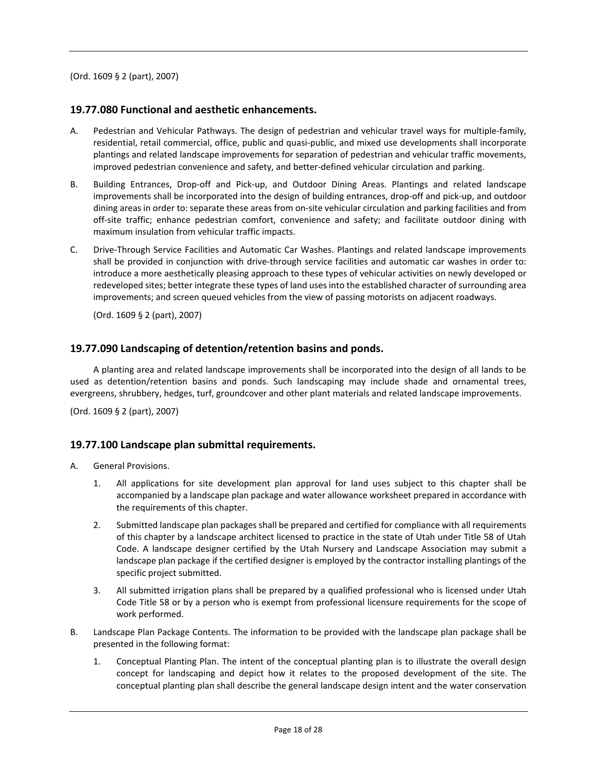#### **19.77.080 Functional and aesthetic enhancements.**

- A. Pedestrian and Vehicular Pathways. The design of pedestrian and vehicular travel ways for multiple-family, residential, retail commercial, office, public and quasi-public, and mixed use developments shall incorporate plantings and related landscape improvements for separation of pedestrian and vehicular traffic movements, improved pedestrian convenience and safety, and better-defined vehicular circulation and parking.
- B. Building Entrances, Drop-off and Pick-up, and Outdoor Dining Areas. Plantings and related landscape improvements shall be incorporated into the design of building entrances, drop-off and pick-up, and outdoor dining areas in order to: separate these areas from on-site vehicular circulation and parking facilities and from off-site traffic; enhance pedestrian comfort, convenience and safety; and facilitate outdoor dining with maximum insulation from vehicular traffic impacts.
- C. Drive-Through Service Facilities and Automatic Car Washes. Plantings and related landscape improvements shall be provided in conjunction with drive-through service facilities and automatic car washes in order to: introduce a more aesthetically pleasing approach to these types of vehicular activities on newly developed or redeveloped sites; better integrate these types of land uses into the established character of surrounding area improvements; and screen queued vehicles from the view of passing motorists on adjacent roadways.

(Ord. 1609 § 2 (part), 2007)

#### **19.77.090 Landscaping of detention/retention basins and ponds.**

A planting area and related landscape improvements shall be incorporated into the design of all lands to be used as detention/retention basins and ponds. Such landscaping may include shade and ornamental trees, evergreens, shrubbery, hedges, turf, groundcover and other plant materials and related landscape improvements.

(Ord. 1609 § 2 (part), 2007)

#### **19.77.100 Landscape plan submittal requirements.**

- A. General Provisions.
	- 1. All applications for site development plan approval for land uses subject to this chapter shall be accompanied by a landscape plan package and water allowance worksheet prepared in accordance with the requirements of this chapter.
	- 2. Submitted landscape plan packages shall be prepared and certified for compliance with all requirements of this chapter by a landscape architect licensed to practice in the state of Utah under Title 58 of Utah Code. A landscape designer certified by the Utah Nursery and Landscape Association may submit a landscape plan package if the certified designer is employed by the contractor installing plantings of the specific project submitted.
	- 3. All submitted irrigation plans shall be prepared by a qualified professional who is licensed under Utah Code Title 58 or by a person who is exempt from professional licensure requirements for the scope of work performed.
- B. Landscape Plan Package Contents. The information to be provided with the landscape plan package shall be presented in the following format:
	- 1. Conceptual Planting Plan. The intent of the conceptual planting plan is to illustrate the overall design concept for landscaping and depict how it relates to the proposed development of the site. The conceptual planting plan shall describe the general landscape design intent and the water conservation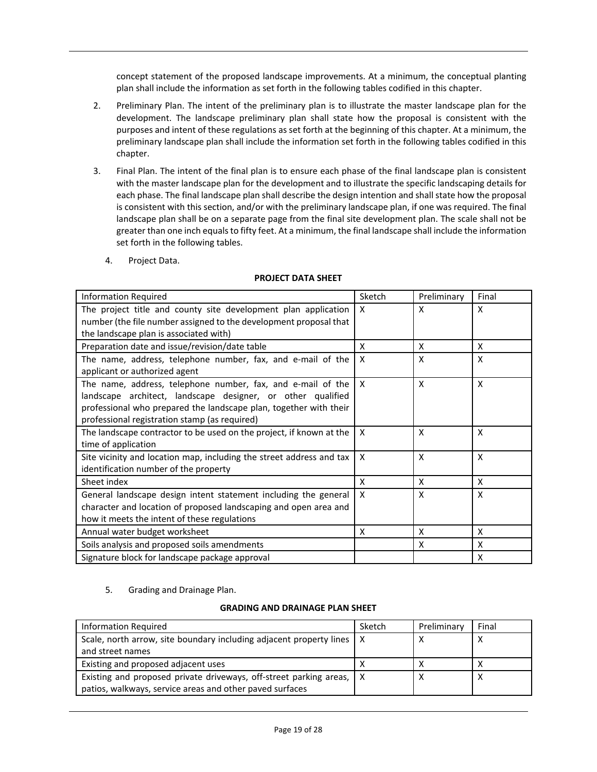concept statement of the proposed landscape improvements. At a minimum, the conceptual planting plan shall include the information as set forth in the following tables codified in this chapter.

- 2. Preliminary Plan. The intent of the preliminary plan is to illustrate the master landscape plan for the development. The landscape preliminary plan shall state how the proposal is consistent with the purposes and intent of these regulations as set forth at the beginning of this chapter. At a minimum, the preliminary landscape plan shall include the information set forth in the following tables codified in this chapter.
- 3. Final Plan. The intent of the final plan is to ensure each phase of the final landscape plan is consistent with the master landscape plan for the development and to illustrate the specific landscaping details for each phase. The final landscape plan shall describe the design intention and shall state how the proposal is consistent with this section, and/or with the preliminary landscape plan, if one was required. The final landscape plan shall be on a separate page from the final site development plan. The scale shall not be greater than one inch equals to fifty feet. At a minimum, the final landscape shall include the information set forth in the following tables.
	- 4. Project Data.

#### **PROJECT DATA SHEET**

| <b>Information Required</b>                                                                                                                                                                                                                      | Sketch       | Preliminary | Final |
|--------------------------------------------------------------------------------------------------------------------------------------------------------------------------------------------------------------------------------------------------|--------------|-------------|-------|
| The project title and county site development plan application                                                                                                                                                                                   | X            | X           | X     |
| number (the file number assigned to the development proposal that                                                                                                                                                                                |              |             |       |
| the landscape plan is associated with)                                                                                                                                                                                                           |              |             |       |
| Preparation date and issue/revision/date table                                                                                                                                                                                                   | X            | X           | X     |
| The name, address, telephone number, fax, and e-mail of the<br>applicant or authorized agent                                                                                                                                                     | X            | X           | X     |
| The name, address, telephone number, fax, and e-mail of the<br>landscape architect, landscape designer, or other qualified<br>professional who prepared the landscape plan, together with their<br>professional registration stamp (as required) | $\mathsf{X}$ | X           | X     |
| The landscape contractor to be used on the project, if known at the<br>time of application                                                                                                                                                       | $\mathsf{x}$ | X           | X     |
| Site vicinity and location map, including the street address and tax<br>identification number of the property                                                                                                                                    | $\mathsf{x}$ | X           | X     |
| Sheet index                                                                                                                                                                                                                                      | X            | X           | X     |
| General landscape design intent statement including the general<br>character and location of proposed landscaping and open area and<br>how it meets the intent of these regulations                                                              | $\mathsf{x}$ | X           | X     |
| Annual water budget worksheet                                                                                                                                                                                                                    | X            | X           | X     |
| Soils analysis and proposed soils amendments                                                                                                                                                                                                     |              | X           | X     |
| Signature block for landscape package approval                                                                                                                                                                                                   |              |             | X     |

#### 5. Grading and Drainage Plan.

#### **GRADING AND DRAINAGE PLAN SHEET**

| Information Required                                                                                                               | Sketch | Preliminary | Final |
|------------------------------------------------------------------------------------------------------------------------------------|--------|-------------|-------|
| Scale, north arrow, site boundary including adjacent property lines   X                                                            |        |             | х     |
| and street names                                                                                                                   |        |             |       |
| Existing and proposed adjacent uses                                                                                                |        |             |       |
| Existing and proposed private driveways, off-street parking areas,   X<br>patios, walkways, service areas and other paved surfaces |        |             | х     |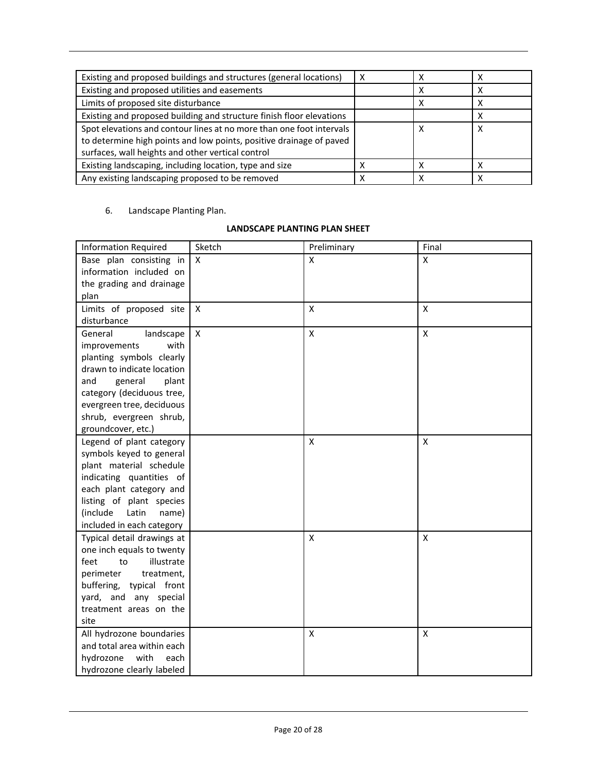| Existing and proposed buildings and structures (general locations)   |  |   |
|----------------------------------------------------------------------|--|---|
| Existing and proposed utilities and easements                        |  |   |
| Limits of proposed site disturbance                                  |  |   |
| Existing and proposed building and structure finish floor elevations |  | х |
| Spot elevations and contour lines at no more than one foot intervals |  | х |
| to determine high points and low points, positive drainage of paved  |  |   |
| surfaces, wall heights and other vertical control                    |  |   |
| Existing landscaping, including location, type and size              |  |   |
| Any existing landscaping proposed to be removed                      |  |   |

6. Landscape Planting Plan.

#### **LANDSCAPE PLANTING PLAN SHEET**

| <b>Information Required</b> | Sketch       | Preliminary               | Final              |
|-----------------------------|--------------|---------------------------|--------------------|
| Base plan consisting in     | X            | X                         | X                  |
| information included on     |              |                           |                    |
| the grading and drainage    |              |                           |                    |
| plan                        |              |                           |                    |
| Limits of proposed site     | X            | $\mathsf{X}$              | X                  |
| disturbance                 |              |                           |                    |
| General<br>landscape        | $\mathsf{x}$ | $\pmb{\mathsf{X}}$        | X                  |
| with<br>improvements        |              |                           |                    |
| planting symbols clearly    |              |                           |                    |
| drawn to indicate location  |              |                           |                    |
| general<br>and<br>plant     |              |                           |                    |
| category (deciduous tree,   |              |                           |                    |
| evergreen tree, deciduous   |              |                           |                    |
| shrub, evergreen shrub,     |              |                           |                    |
| groundcover, etc.)          |              |                           |                    |
| Legend of plant category    |              | $\boldsymbol{\mathsf{x}}$ | X                  |
| symbols keyed to general    |              |                           |                    |
| plant material schedule     |              |                           |                    |
| indicating quantities of    |              |                           |                    |
| each plant category and     |              |                           |                    |
| listing of plant species    |              |                           |                    |
| (include<br>Latin<br>name)  |              |                           |                    |
| included in each category   |              |                           |                    |
| Typical detail drawings at  |              | X                         | X                  |
| one inch equals to twenty   |              |                           |                    |
| feet<br>illustrate<br>to    |              |                           |                    |
| perimeter<br>treatment,     |              |                           |                    |
| buffering, typical front    |              |                           |                    |
| yard, and any special       |              |                           |                    |
| treatment areas on the      |              |                           |                    |
| site                        |              |                           |                    |
| All hydrozone boundaries    |              | $\pmb{\mathsf{X}}$        | $\pmb{\mathsf{X}}$ |
| and total area within each  |              |                           |                    |
| hydrozone<br>with<br>each   |              |                           |                    |
| hydrozone clearly labeled   |              |                           |                    |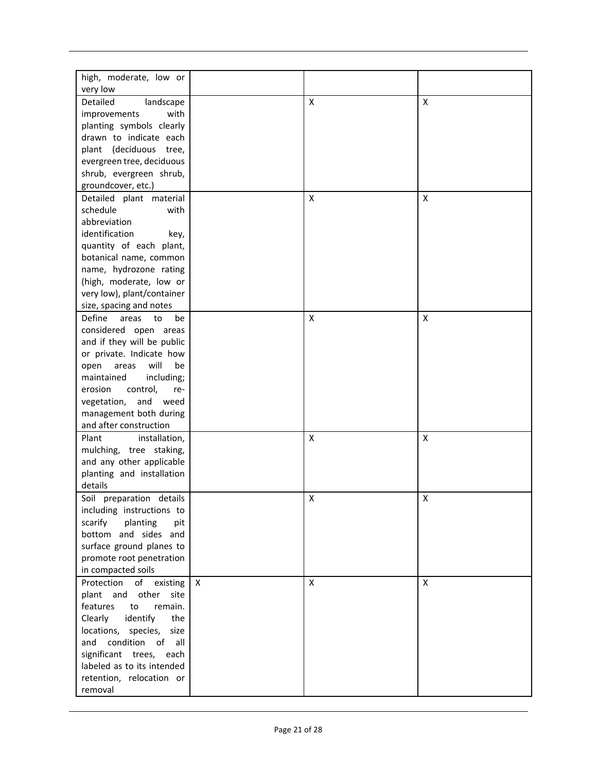| high, moderate, low or      |              |                    |              |
|-----------------------------|--------------|--------------------|--------------|
| very low                    |              |                    |              |
|                             |              |                    |              |
| Detailed<br>landscape       |              | Χ                  | X            |
| improvements<br>with        |              |                    |              |
| planting symbols clearly    |              |                    |              |
| drawn to indicate each      |              |                    |              |
| plant (deciduous tree,      |              |                    |              |
| evergreen tree, deciduous   |              |                    |              |
| shrub, evergreen shrub,     |              |                    |              |
| groundcover, etc.)          |              |                    |              |
| Detailed plant material     |              | Χ                  | X            |
| schedule<br>with            |              |                    |              |
| abbreviation                |              |                    |              |
| identification<br>key,      |              |                    |              |
| quantity of each plant,     |              |                    |              |
| botanical name, common      |              |                    |              |
| name, hydrozone rating      |              |                    |              |
| (high, moderate, low or     |              |                    |              |
| very low), plant/container  |              |                    |              |
| size, spacing and notes     |              |                    |              |
| Define<br>areas<br>to<br>be |              | X                  | X            |
|                             |              |                    |              |
| considered open areas       |              |                    |              |
| and if they will be public  |              |                    |              |
| or private. Indicate how    |              |                    |              |
| will<br>be<br>open<br>areas |              |                    |              |
| maintained<br>including;    |              |                    |              |
| erosion<br>control,<br>re-  |              |                    |              |
| and<br>vegetation,<br>weed  |              |                    |              |
| management both during      |              |                    |              |
| and after construction      |              |                    |              |
| Plant<br>installation,      |              | X                  | X            |
| mulching, tree staking,     |              |                    |              |
| and any other applicable    |              |                    |              |
| planting and installation   |              |                    |              |
| details                     |              |                    |              |
| Soil preparation details    |              | X                  | X            |
| including instructions to   |              |                    |              |
| scarify<br>planting<br>pit  |              |                    |              |
| bottom and sides and        |              |                    |              |
| surface ground planes to    |              |                    |              |
| promote root penetration    |              |                    |              |
| in compacted soils          |              |                    |              |
|                             |              |                    |              |
| Protection<br>of existing   | $\mathsf{X}$ | $\pmb{\mathsf{X}}$ | $\mathsf{X}$ |
| plant and other<br>site     |              |                    |              |
| remain.<br>features<br>to   |              |                    |              |
| Clearly<br>identify<br>the  |              |                    |              |
| locations, species,<br>size |              |                    |              |
| and condition<br>of<br>all  |              |                    |              |
| significant trees, each     |              |                    |              |
| labeled as to its intended  |              |                    |              |
| retention, relocation or    |              |                    |              |
| removal                     |              |                    |              |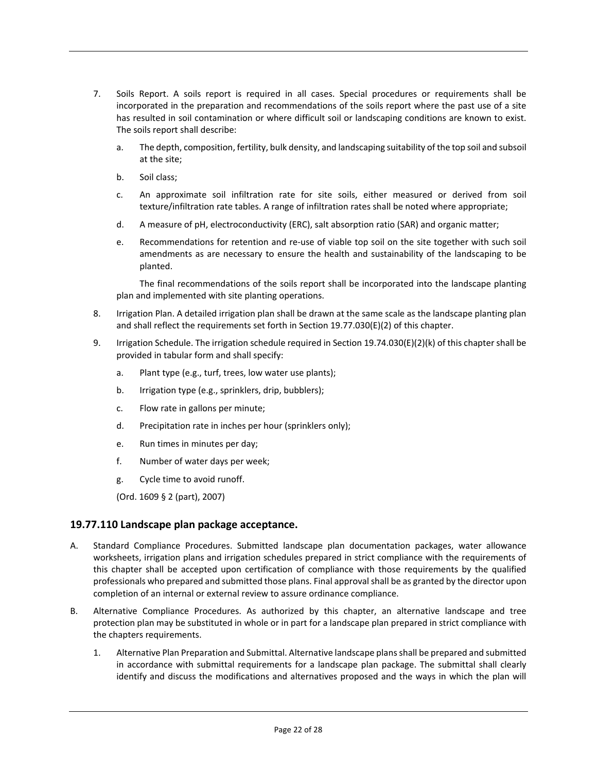- 7. Soils Report. A soils report is required in all cases. Special procedures or requirements shall be incorporated in the preparation and recommendations of the soils report where the past use of a site has resulted in soil contamination or where difficult soil or landscaping conditions are known to exist. The soils report shall describe:
	- a. The depth, composition, fertility, bulk density, and landscaping suitability of the top soil and subsoil at the site;
	- b. Soil class;
	- c. An approximate soil infiltration rate for site soils, either measured or derived from soil texture/infiltration rate tables. A range of infiltration rates shall be noted where appropriate;
	- d. A measure of pH, electroconductivity (ERC), salt absorption ratio (SAR) and organic matter;
	- e. Recommendations for retention and re-use of viable top soil on the site together with such soil amendments as are necessary to ensure the health and sustainability of the landscaping to be planted.

The final recommendations of the soils report shall be incorporated into the landscape planting plan and implemented with site planting operations.

- 8. Irrigation Plan. A detailed irrigation plan shall be drawn at the same scale as the landscape planting plan and shall reflect the requirements set forth in Section 19.77.030(E)(2) of this chapter.
- 9. Irrigation Schedule. The irrigation schedule required in Section 19.74.030(E)(2)(k) of this chapter shall be provided in tabular form and shall specify:
	- a. Plant type (e.g., turf, trees, low water use plants);
	- b. Irrigation type (e.g., sprinklers, drip, bubblers);
	- c. Flow rate in gallons per minute;
	- d. Precipitation rate in inches per hour (sprinklers only);
	- e. Run times in minutes per day;
	- f. Number of water days per week;
	- g. Cycle time to avoid runoff.

(Ord. 1609 § 2 (part), 2007)

#### **19.77.110 Landscape plan package acceptance.**

- A. Standard Compliance Procedures. Submitted landscape plan documentation packages, water allowance worksheets, irrigation plans and irrigation schedules prepared in strict compliance with the requirements of this chapter shall be accepted upon certification of compliance with those requirements by the qualified professionals who prepared and submitted those plans. Final approval shall be as granted by the director upon completion of an internal or external review to assure ordinance compliance.
- B. Alternative Compliance Procedures. As authorized by this chapter, an alternative landscape and tree protection plan may be substituted in whole or in part for a landscape plan prepared in strict compliance with the chapters requirements.
	- 1. Alternative Plan Preparation and Submittal. Alternative landscape plans shall be prepared and submitted in accordance with submittal requirements for a landscape plan package. The submittal shall clearly identify and discuss the modifications and alternatives proposed and the ways in which the plan will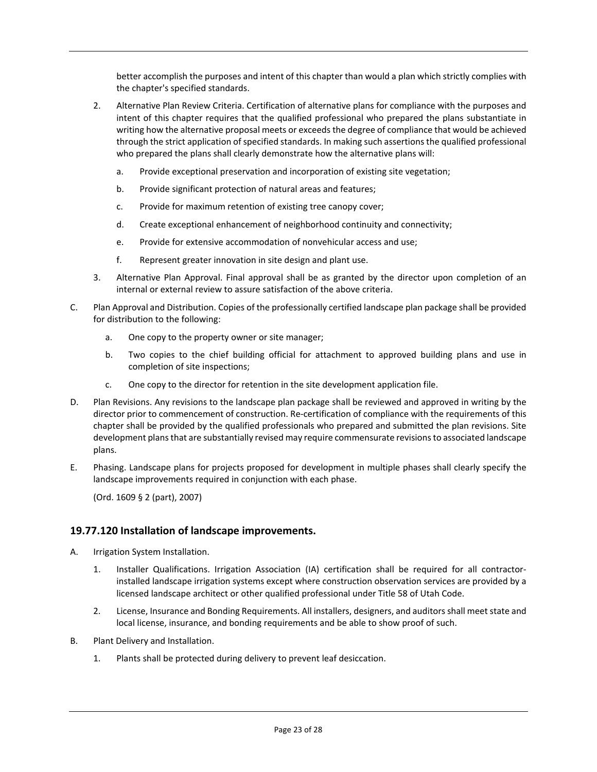better accomplish the purposes and intent of this chapter than would a plan which strictly complies with the chapter's specified standards.

- 2. Alternative Plan Review Criteria. Certification of alternative plans for compliance with the purposes and intent of this chapter requires that the qualified professional who prepared the plans substantiate in writing how the alternative proposal meets or exceeds the degree of compliance that would be achieved through the strict application of specified standards. In making such assertions the qualified professional who prepared the plans shall clearly demonstrate how the alternative plans will:
	- a. Provide exceptional preservation and incorporation of existing site vegetation;
	- b. Provide significant protection of natural areas and features;
	- c. Provide for maximum retention of existing tree canopy cover;
	- d. Create exceptional enhancement of neighborhood continuity and connectivity;
	- e. Provide for extensive accommodation of nonvehicular access and use;
	- f. Represent greater innovation in site design and plant use.
- 3. Alternative Plan Approval. Final approval shall be as granted by the director upon completion of an internal or external review to assure satisfaction of the above criteria.
- C. Plan Approval and Distribution. Copies of the professionally certified landscape plan package shall be provided for distribution to the following:
	- a. One copy to the property owner or site manager;
	- b. Two copies to the chief building official for attachment to approved building plans and use in completion of site inspections;
	- c. One copy to the director for retention in the site development application file.
- D. Plan Revisions. Any revisions to the landscape plan package shall be reviewed and approved in writing by the director prior to commencement of construction. Re-certification of compliance with the requirements of this chapter shall be provided by the qualified professionals who prepared and submitted the plan revisions. Site development plans that are substantially revised may require commensurate revisions to associated landscape plans.
- E. Phasing. Landscape plans for projects proposed for development in multiple phases shall clearly specify the landscape improvements required in conjunction with each phase.

(Ord. 1609 § 2 (part), 2007)

## **19.77.120 Installation of landscape improvements.**

- A. Irrigation System Installation.
	- 1. Installer Qualifications. Irrigation Association (IA) certification shall be required for all contractorinstalled landscape irrigation systems except where construction observation services are provided by a licensed landscape architect or other qualified professional under Title 58 of Utah Code.
	- 2. License, Insurance and Bonding Requirements. All installers, designers, and auditors shall meet state and local license, insurance, and bonding requirements and be able to show proof of such.
- B. Plant Delivery and Installation.
	- 1. Plants shall be protected during delivery to prevent leaf desiccation.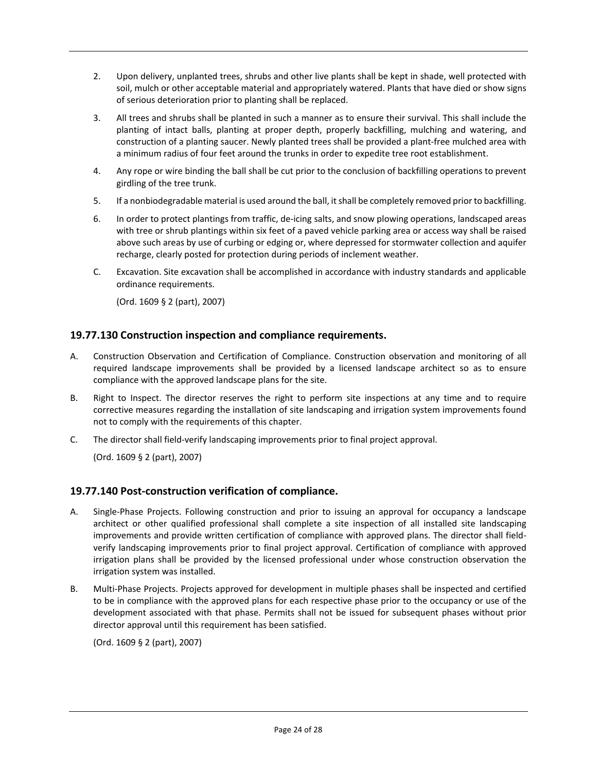- 2. Upon delivery, unplanted trees, shrubs and other live plants shall be kept in shade, well protected with soil, mulch or other acceptable material and appropriately watered. Plants that have died or show signs of serious deterioration prior to planting shall be replaced.
- 3. All trees and shrubs shall be planted in such a manner as to ensure their survival. This shall include the planting of intact balls, planting at proper depth, properly backfilling, mulching and watering, and construction of a planting saucer. Newly planted trees shall be provided a plant-free mulched area with a minimum radius of four feet around the trunks in order to expedite tree root establishment.
- 4. Any rope or wire binding the ball shall be cut prior to the conclusion of backfilling operations to prevent girdling of the tree trunk.
- 5. If a nonbiodegradable material is used around the ball, it shall be completely removed prior to backfilling.
- 6. In order to protect plantings from traffic, de-icing salts, and snow plowing operations, landscaped areas with tree or shrub plantings within six feet of a paved vehicle parking area or access way shall be raised above such areas by use of curbing or edging or, where depressed for stormwater collection and aquifer recharge, clearly posted for protection during periods of inclement weather.
- C. Excavation. Site excavation shall be accomplished in accordance with industry standards and applicable ordinance requirements.

## **19.77.130 Construction inspection and compliance requirements.**

- A. Construction Observation and Certification of Compliance. Construction observation and monitoring of all required landscape improvements shall be provided by a licensed landscape architect so as to ensure compliance with the approved landscape plans for the site.
- B. Right to Inspect. The director reserves the right to perform site inspections at any time and to require corrective measures regarding the installation of site landscaping and irrigation system improvements found not to comply with the requirements of this chapter.
- C. The director shall field-verify landscaping improvements prior to final project approval.

(Ord. 1609 § 2 (part), 2007)

## **19.77.140 Post-construction verification of compliance.**

- A. Single-Phase Projects. Following construction and prior to issuing an approval for occupancy a landscape architect or other qualified professional shall complete a site inspection of all installed site landscaping improvements and provide written certification of compliance with approved plans. The director shall fieldverify landscaping improvements prior to final project approval. Certification of compliance with approved irrigation plans shall be provided by the licensed professional under whose construction observation the irrigation system was installed.
- B. Multi-Phase Projects. Projects approved for development in multiple phases shall be inspected and certified to be in compliance with the approved plans for each respective phase prior to the occupancy or use of the development associated with that phase. Permits shall not be issued for subsequent phases without prior director approval until this requirement has been satisfied.

(Ord. 1609 § 2 (part), 2007)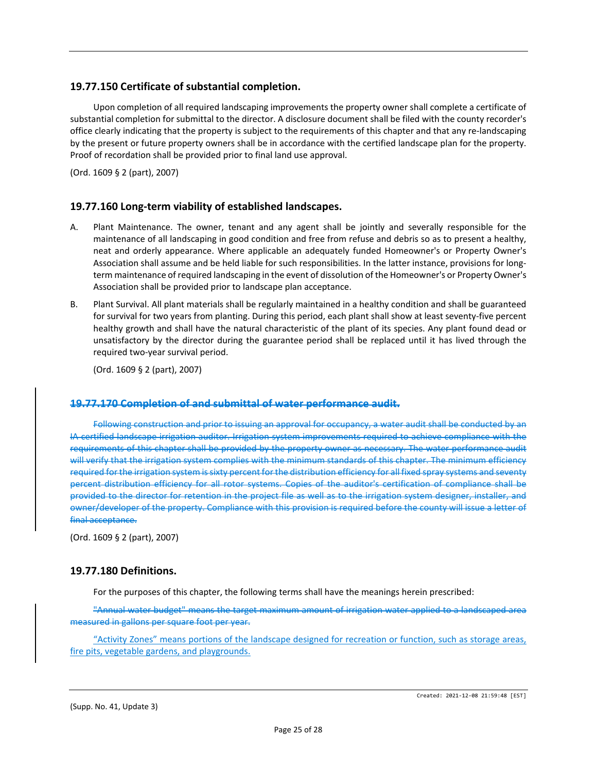#### **19.77.150 Certificate of substantial completion.**

Upon completion of all required landscaping improvements the property owner shall complete a certificate of substantial completion for submittal to the director. A disclosure document shall be filed with the county recorder's office clearly indicating that the property is subject to the requirements of this chapter and that any re-landscaping by the present or future property owners shall be in accordance with the certified landscape plan for the property. Proof of recordation shall be provided prior to final land use approval.

(Ord. 1609 § 2 (part), 2007)

## **19.77.160 Long-term viability of established landscapes.**

- A. Plant Maintenance. The owner, tenant and any agent shall be jointly and severally responsible for the maintenance of all landscaping in good condition and free from refuse and debris so as to present a healthy, neat and orderly appearance. Where applicable an adequately funded Homeowner's or Property Owner's Association shall assume and be held liable for such responsibilities. In the latter instance, provisions for longterm maintenance of required landscaping in the event of dissolution of the Homeowner's or Property Owner's Association shall be provided prior to landscape plan acceptance.
- B. Plant Survival. All plant materials shall be regularly maintained in a healthy condition and shall be guaranteed for survival for two years from planting. During this period, each plant shall show at least seventy-five percent healthy growth and shall have the natural characteristic of the plant of its species. Any plant found dead or unsatisfactory by the director during the guarantee period shall be replaced until it has lived through the required two-year survival period.

(Ord. 1609 § 2 (part), 2007)

#### **19.77.170 Completion of and submittal of water performance audit.**

Following construction and prior to issuing an approval for occupancy, a water audit shall be conducted by an IA certified landscape irrigation auditor. Irrigation system improvements required to achieve compliance with the requirements of this chapter shall be provided by the property owner as necessary. The water performance audit will verify that the irrigation system complies with the minimum standards of this chapter. The minimum efficiency required for the irrigation system is sixty percent for the distribution efficiency for all fixed spray systems and seventy percent distribution efficiency for all rotor systems. Copies of the auditor's certification of compliance shall be provided to the director for retention in the project file as well as to the irrigation system designer, installer, and owner/developer of the property. Compliance with this provision is required before the county will issue a letter of final acceptance.

(Ord. 1609 § 2 (part), 2007)

#### **19.77.180 Definitions.**

For the purposes of this chapter, the following terms shall have the meanings herein prescribed:

"Annual water budget" means the target maximum amount of irrigation water applied to a landscaped area measured in gallons per square foot per year.

"Activity Zones" means portions of the landscape designed for recreation or function, such as storage areas, fire pits, vegetable gardens, and playgrounds.

(Supp. No. 41, Update 3)

Created: 2021-12-08 21:59:48 [EST]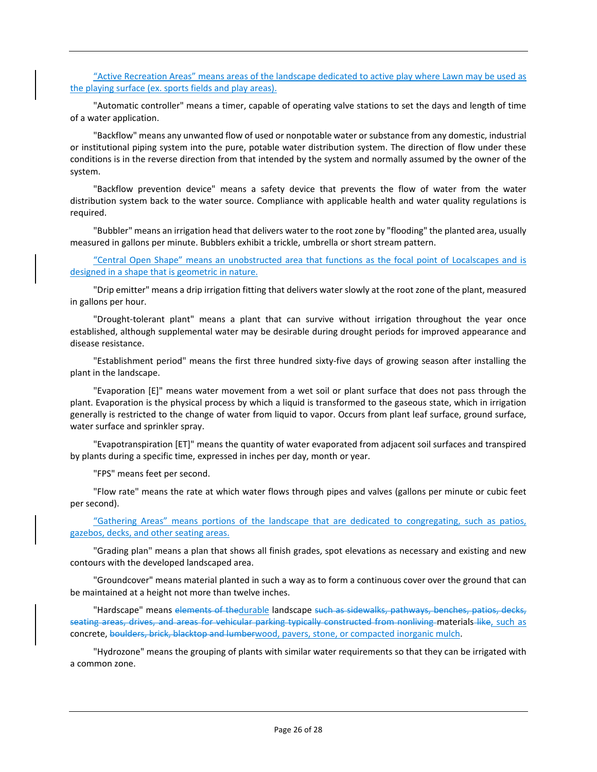"Active Recreation Areas" means areas of the landscape dedicated to active play where Lawn may be used as the playing surface (ex. sports fields and play areas).

"Automatic controller" means a timer, capable of operating valve stations to set the days and length of time of a water application.

"Backflow" means any unwanted flow of used or nonpotable water or substance from any domestic, industrial or institutional piping system into the pure, potable water distribution system. The direction of flow under these conditions is in the reverse direction from that intended by the system and normally assumed by the owner of the system.

"Backflow prevention device" means a safety device that prevents the flow of water from the water distribution system back to the water source. Compliance with applicable health and water quality regulations is required.

"Bubbler" means an irrigation head that delivers water to the root zone by "flooding" the planted area, usually measured in gallons per minute. Bubblers exhibit a trickle, umbrella or short stream pattern.

"Central Open Shape" means an unobstructed area that functions as the focal point of Localscapes and is designed in a shape that is geometric in nature.

"Drip emitter" means a drip irrigation fitting that delivers water slowly at the root zone of the plant, measured in gallons per hour.

"Drought-tolerant plant" means a plant that can survive without irrigation throughout the year once established, although supplemental water may be desirable during drought periods for improved appearance and disease resistance.

"Establishment period" means the first three hundred sixty-five days of growing season after installing the plant in the landscape.

"Evaporation [E]" means water movement from a wet soil or plant surface that does not pass through the plant. Evaporation is the physical process by which a liquid is transformed to the gaseous state, which in irrigation generally is restricted to the change of water from liquid to vapor. Occurs from plant leaf surface, ground surface, water surface and sprinkler spray.

"Evapotranspiration [ET]" means the quantity of water evaporated from adjacent soil surfaces and transpired by plants during a specific time, expressed in inches per day, month or year.

"FPS" means feet per second.

"Flow rate" means the rate at which water flows through pipes and valves (gallons per minute or cubic feet per second).

"Gathering Areas" means portions of the landscape that are dedicated to congregating, such as patios, gazebos, decks, and other seating areas.

"Grading plan" means a plan that shows all finish grades, spot elevations as necessary and existing and new contours with the developed landscaped area.

"Groundcover" means material planted in such a way as to form a continuous cover over the ground that can be maintained at a height not more than twelve inches.

"Hardscape" means elements of thedurable landscape such as sidewalks, pathways, benches, patios, decks, seating areas, drives, and areas for vehicular parking typically constructed from nonliving materials like, such as concrete, boulders, brick, blacktop and lumberwood, pavers, stone, or compacted inorganic mulch.

"Hydrozone" means the grouping of plants with similar water requirements so that they can be irrigated with a common zone.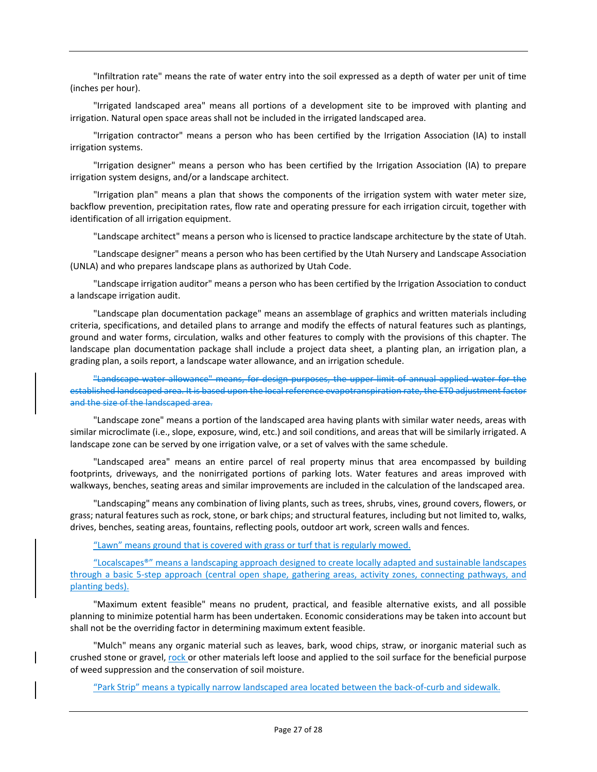"Infiltration rate" means the rate of water entry into the soil expressed as a depth of water per unit of time (inches per hour).

"Irrigated landscaped area" means all portions of a development site to be improved with planting and irrigation. Natural open space areas shall not be included in the irrigated landscaped area.

"Irrigation contractor" means a person who has been certified by the Irrigation Association (IA) to install irrigation systems.

"Irrigation designer" means a person who has been certified by the Irrigation Association (IA) to prepare irrigation system designs, and/or a landscape architect.

"Irrigation plan" means a plan that shows the components of the irrigation system with water meter size, backflow prevention, precipitation rates, flow rate and operating pressure for each irrigation circuit, together with identification of all irrigation equipment.

"Landscape architect" means a person who is licensed to practice landscape architecture by the state of Utah.

"Landscape designer" means a person who has been certified by the Utah Nursery and Landscape Association (UNLA) and who prepares landscape plans as authorized by Utah Code.

"Landscape irrigation auditor" means a person who has been certified by the Irrigation Association to conduct a landscape irrigation audit.

"Landscape plan documentation package" means an assemblage of graphics and written materials including criteria, specifications, and detailed plans to arrange and modify the effects of natural features such as plantings, ground and water forms, circulation, walks and other features to comply with the provisions of this chapter. The landscape plan documentation package shall include a project data sheet, a planting plan, an irrigation plan, a grading plan, a soils report, a landscape water allowance, and an irrigation schedule.

"Landscape water allowance" means, for design purposes, the upper limit of annual applied water for the established landscaped area. It is based upon the local reference evapotranspiration rate, the ET0 adjustment factor and the size of the landscaped area.

"Landscape zone" means a portion of the landscaped area having plants with similar water needs, areas with similar microclimate (i.e., slope, exposure, wind, etc.) and soil conditions, and areas that will be similarly irrigated. A landscape zone can be served by one irrigation valve, or a set of valves with the same schedule.

"Landscaped area" means an entire parcel of real property minus that area encompassed by building footprints, driveways, and the nonirrigated portions of parking lots. Water features and areas improved with walkways, benches, seating areas and similar improvements are included in the calculation of the landscaped area.

"Landscaping" means any combination of living plants, such as trees, shrubs, vines, ground covers, flowers, or grass; natural features such as rock, stone, or bark chips; and structural features, including but not limited to, walks, drives, benches, seating areas, fountains, reflecting pools, outdoor art work, screen walls and fences.

"Lawn" means ground that is covered with grass or turf that is regularly mowed.

"Localscapes®" means a landscaping approach designed to create locally adapted and sustainable landscapes through a basic 5-step approach (central open shape, gathering areas, activity zones, connecting pathways, and planting beds).

"Maximum extent feasible" means no prudent, practical, and feasible alternative exists, and all possible planning to minimize potential harm has been undertaken. Economic considerations may be taken into account but shall not be the overriding factor in determining maximum extent feasible.

"Mulch" means any organic material such as leaves, bark, wood chips, straw, or inorganic material such as crushed stone or gravel, rock or other materials left loose and applied to the soil surface for the beneficial purpose of weed suppression and the conservation of soil moisture.

"Park Strip" means a typically narrow landscaped area located between the back-of-curb and sidewalk.